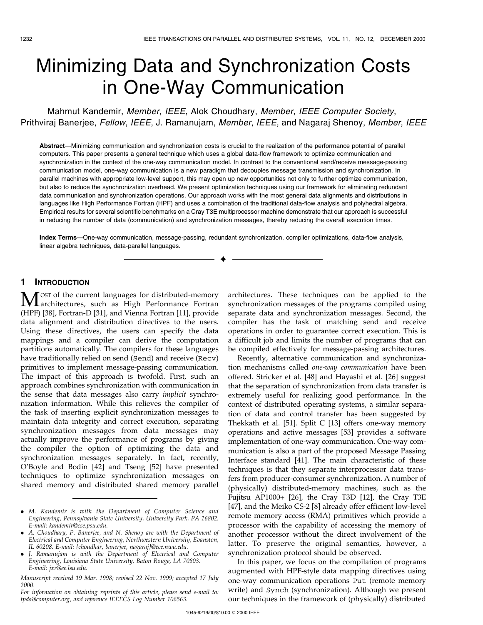# Minimizing Data and Synchronization Costs in One-Way Communication

Mahmut Kandemir, Member, IEEE, Alok Choudhary, Member, IEEE Computer Society, Prithviraj Banerjee, Fellow, IEEE, J. Ramanujam, Member, IEEE, and Nagaraj Shenoy, Member, IEEE

Abstract—Minimizing communication and synchronization costs is crucial to the realization of the performance potential of parallel computers. This paper presents a general technique which uses a global data-flow framework to optimize communication and synchronization in the context of the one-way communication model. In contrast to the conventional send/receive message-passing communication model, one-way communication is a new paradigm that decouples message transmission and synchronization. In parallel machines with appropriate low-level support, this may open up new opportunities not only to further optimize communication, but also to reduce the synchronization overhead. We present optimization techniques using our framework for eliminating redundant data communication and synchronization operations. Our approach works with the most general data alignments and distributions in languages like High Performance Fortran (HPF) and uses a combination of the traditional data-flow analysis and polyhedral algebra. Empirical results for several scientific benchmarks on a Cray T3E multiprocessor machine demonstrate that our approach is successful in reducing the number of data (communication) and synchronization messages, thereby reducing the overall execution times.

Index Terms—One-way communication, message-passing, redundant synchronization, compiler optimizations, data-flow analysis, linear algebra techniques, data-parallel languages.

æ

## 1 INTRODUCTION

Most of the current languages for distributed-memory<br>architectures, such as High Performance Fortran (HPF) [38], Fortran-D [31], and Vienna Fortran [11], provide data alignment and distribution directives to the users. Using these directives, the users can specify the data mappings and a compiler can derive the computation partitions automatically. The compilers for these languages have traditionally relied on send (Send) and receive (Recv) primitives to implement message-passing communication. The impact of this approach is twofold. First, such an approach combines synchronization with communication in the sense that data messages also carry *implicit* synchronization information. While this relieves the compiler of the task of inserting explicit synchronization messages to maintain data integrity and correct execution, separating synchronization messages from data messages may actually improve the performance of programs by giving the compiler the option of optimizing the data and synchronization messages separately. In fact, recently, O'Boyle and Bodin [42] and Tseng [52] have presented techniques to optimize synchronization messages on shared memory and distributed shared memory parallel

architectures. These techniques can be applied to the synchronization messages of the programs compiled using separate data and synchronization messages. Second, the compiler has the task of matching send and receive operations in order to guarantee correct execution. This is a difficult job and limits the number of programs that can be compiled effectively for message-passing architectures.

Recently, alternative communication and synchronization mechanisms called one-way communication have been offered. Stricker et al. [48] and Hayashi et al. [26] suggest that the separation of synchronization from data transfer is extremely useful for realizing good performance. In the context of distributed operating systems, a similar separation of data and control transfer has been suggested by Thekkath et al. [51]. Split C [13] offers one-way memory operations and active messages [53] provides a software implementation of one-way communication. One-way communication is also a part of the proposed Message Passing Interface standard [41]. The main characteristic of these techniques is that they separate interprocessor data transfers from producer-consumer synchronization. A number of (physically) distributed-memory machines, such as the Fujitsu AP1000+ [26], the Cray T3D [12], the Cray T3E [47], and the Meiko CS-2 [8] already offer efficient low-level remote memory access (RMA) primitives which provide a processor with the capability of accessing the memory of another processor without the direct involvement of the latter. To preserve the original semantics, however, a synchronization protocol should be observed.

In this paper, we focus on the compilation of programs augmented with HPF-style data mapping directives using one-way communication operations Put (remote memory write) and Synch (synchronization). Although we present our techniques in the framework of (physically) distributed

<sup>.</sup> M. Kandemir is with the Department of Computer Science and Engineering, Pennsylvania State University, University Park, PA 16802. E-mail: kandemir@cse.psu.edu.

<sup>.</sup> A. Choudhary, P. Banerjee, and N. Shenoy are with the Department of Electrical and Computer Engineering, Northwestern University, Evanston, IL 60208. E-mail: {choudhar, banerjee, nagaraj}@ece.nwu.edu.

<sup>.</sup> J. Ramanujam is with the Department of Electrical and Computer Engineering, Louisiana State University, Baton Rouge, LA 70803. E-mail: jxr@ee.lsu.edu.

Manuscript received 19 Mar. 1998; revised 22 Nov. 1999; accepted 17 July 2000.

For information on obtaining reprints of this article, please send e-mail to: tpds@computer.org, and reference IEEECS Log Number 106563.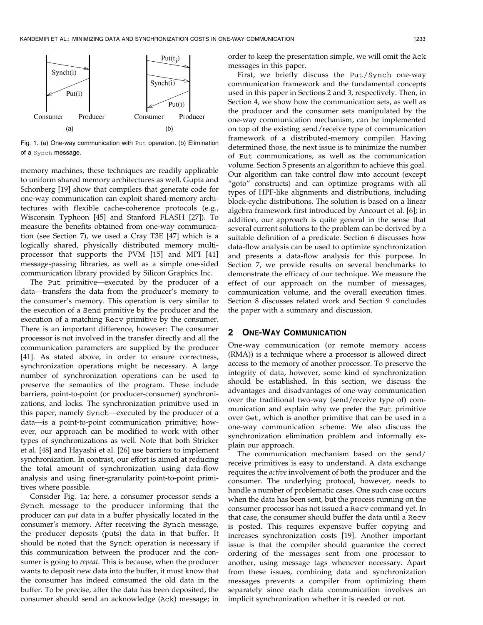

Fig. 1. (a) One-way communication with Put operation. (b) Elimination of a Synch message.

memory machines, these techniques are readily applicable to uniform shared memory architectures as well. Gupta and Schonberg [19] show that compilers that generate code for one-way communication can exploit shared-memory architectures with flexible cache-coherence protocols (e.g., Wisconsin Typhoon [45] and Stanford FLASH [27]). To measure the benefits obtained from one-way communication (see Section 7), we used a Cray T3E [47] which is a logically shared, physically distributed memory multiprocessor that supports the PVM [15] and MPI [41] message-passing libraries, as well as a simple one-sided communication library provided by Silicon Graphics Inc.

The Put primitive—executed by the producer of a data-transfers the data from the producer's memory to the consumer's memory. This operation is very similar to the execution of a Send primitive by the producer and the execution of a matching Recv primitive by the consumer. There is an important difference, however: The consumer processor is not involved in the transfer directly and all the communication parameters are supplied by the producer [41]. As stated above, in order to ensure correctness, synchronization operations might be necessary. A large number of synchronization operations can be used to preserve the semantics of the program. These include barriers, point-to-point (or producer-consumer) synchronizations, and locks. The synchronization primitive used in this paper, namely Synch—executed by the producer of a data—is a point-to-point communication primitive; however, our approach can be modified to work with other types of synchronizations as well. Note that both Stricker et al. [48] and Hayashi et al. [26] use barriers to implement synchronization. In contrast, our effort is aimed at reducing the total amount of synchronization using data-flow analysis and using finer-granularity point-to-point primitives where possible.

Consider Fig. 1a; here, a consumer processor sends a Synch message to the producer informing that the producer can put data in a buffer physically located in the consumer's memory. After receiving the Synch message, the producer deposits (puts) the data in that buffer. It should be noted that the Synch operation is necessary if this communication between the producer and the consumer is going to *repeat*. This is because, when the producer wants to deposit new data into the buffer, it must know that the consumer has indeed consumed the old data in the buffer. To be precise, after the data has been deposited, the consumer should send an acknowledge (Ack) message; in

order to keep the presentation simple, we will omit the Ack messages in this paper.

First, we briefly discuss the Put/Synch one-way communication framework and the fundamental concepts used in this paper in Sections 2 and 3, respectively. Then, in Section 4, we show how the communication sets, as well as the producer and the consumer sets manipulated by the one-way communication mechanism, can be implemented on top of the existing send/receive type of communication framework of a distributed-memory compiler. Having determined those, the next issue is to minimize the number of Put communications, as well as the communication volume. Section 5 presents an algorithm to achieve this goal. Our algorithm can take control flow into account (except ªgotoº constructs) and can optimize programs with all types of HPF-like alignments and distributions, including block-cyclic distributions. The solution is based on a linear algebra framework first introduced by Ancourt et al. [6]; in addition, our approach is quite general in the sense that several current solutions to the problem can be derived by a suitable definition of a predicate. Section 6 discusses how data-flow analysis can be used to optimize synchronization and presents a data-flow analysis for this purpose. In Section 7, we provide results on several benchmarks to demonstrate the efficacy of our technique. We measure the effect of our approach on the number of messages, communication volume, and the overall execution times. Section 8 discusses related work and Section 9 concludes the paper with a summary and discussion.

#### 2 ONE-WAY COMMUNICATION

One-way communication (or remote memory access (RMA)) is a technique where a processor is allowed direct access to the memory of another processor. To preserve the integrity of data, however, some kind of synchronization should be established. In this section, we discuss the advantages and disadvantages of one-way communication over the traditional two-way (send/receive type of) communication and explain why we prefer the Put primitive over Get, which is another primitive that can be used in a one-way communication scheme. We also discuss the synchronization elimination problem and informally explain our approach.

The communication mechanism based on the send/ receive primitives is easy to understand. A data exchange requires the active involvement of both the producer and the consumer. The underlying protocol, however, needs to handle a number of problematic cases. One such case occurs when the data has been sent, but the process running on the consumer processor has not issued a Recv command yet. In that case, the consumer should buffer the data until a Recv is posted. This requires expensive buffer copying and increases synchronization costs [19]. Another important issue is that the compiler should guarantee the correct ordering of the messages sent from one processor to another, using message tags whenever necessary. Apart from these issues, combining data and synchronization messages prevents a compiler from optimizing them separately since each data communication involves an implicit synchronization whether it is needed or not.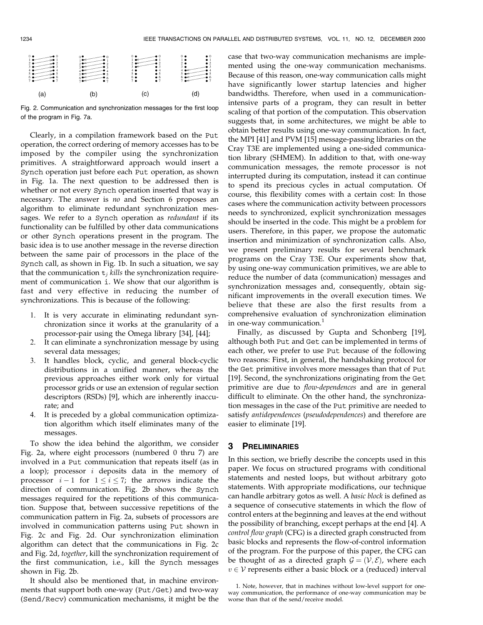

Fig. 2. Communication and synchronization messages for the first loop of the program in Fig. 7a.

Clearly, in a compilation framework based on the Put operation, the correct ordering of memory accesses has to be imposed by the compiler using the synchronization primitives. A straightforward approach would insert a Synch operation just before each Put operation, as shown in Fig. 1a. The next question to be addressed then is whether or not every Synch operation inserted that way is necessary. The answer is no and Section 6 proposes an algorithm to eliminate redundant synchronization messages. We refer to a Synch operation as redundant if its functionality can be fulfilled by other data communications or other Synch operations present in the program. The basic idea is to use another message in the reverse direction between the same pair of processors in the place of the Synch call, as shown in Fig. 1b. In such a situation, we say that the communication  $t_j$  kills the synchronization requirement of communication i. We show that our algorithm is fast and very effective in reducing the number of synchronizations. This is because of the following:

- 1. It is very accurate in eliminating redundant synchronization since it works at the granularity of a processor-pair using the Omega library [34], [44];
- 2. It can eliminate a synchronization message by using several data messages;
- 3. It handles block, cyclic, and general block-cyclic distributions in a unified manner, whereas the previous approaches either work only for virtual processor grids or use an extension of regular section descriptors (RSDs) [9], which are inherently inaccurate; and
- 4. It is preceded by a global communication optimization algorithm which itself eliminates many of the messages.

To show the idea behind the algorithm, we consider Fig. 2a, where eight processors (numbered 0 thru 7) are involved in a Put communication that repeats itself (as in a loop); processor  $i$  deposits data in the memory of processor  $i - 1$  for  $1 \le i \le 7$ ; the arrows indicate the direction of communication. Fig. 2b shows the Synch messages required for the repetitions of this communication. Suppose that, between successive repetitions of the communication pattern in Fig. 2a, subsets of processors are involved in communication patterns using Put shown in Fig. 2c and Fig. 2d. Our synchronization elimination algorithm can detect that the communications in Fig. 2c and Fig. 2d, together, kill the synchronization requirement of the first communication, i.e., kill the Synch messages shown in Fig. 2b.

It should also be mentioned that, in machine environments that support both one-way (Put/Get) and two-way (Send/Recv) communication mechanisms, it might be the case that two-way communication mechanisms are implemented using the one-way communication mechanisms. Because of this reason, one-way communication calls might have significantly lower startup latencies and higher bandwidths. Therefore, when used in a communicationintensive parts of a program, they can result in better scaling of that portion of the computation. This observation suggests that, in some architectures, we might be able to obtain better results using one-way communication. In fact, the MPI [41] and PVM [15] message-passing libraries on the Cray T3E are implemented using a one-sided communication library (SHMEM). In addition to that, with one-way communication messages, the remote processor is not interrupted during its computation, instead it can continue to spend its precious cycles in actual computation. Of course, this flexibility comes with a certain cost: In those cases where the communication activity between processors needs to synchronized, explicit synchronization messages should be inserted in the code. This might be a problem for users. Therefore, in this paper, we propose the automatic insertion and minimization of synchronization calls. Also, we present preliminary results for several benchmark programs on the Cray T3E. Our experiments show that, by using one-way communication primitives, we are able to reduce the number of data (communication) messages and synchronization messages and, consequently, obtain significant improvements in the overall execution times. We believe that these are also the first results from a comprehensive evaluation of synchronization elimination in one-way communication.<sup>1</sup>

Finally, as discussed by Gupta and Schonberg [19], although both Put and Get can be implemented in terms of each other, we prefer to use Put because of the following two reasons: First, in general, the handshaking protocol for the Get primitive involves more messages than that of Put [19]. Second, the synchronizations originating from the Get primitive are due to flow-dependences and are in general difficult to eliminate. On the other hand, the synchronization messages in the case of the Put primitive are needed to satisfy antidependences (pseudodependences) and therefore are easier to eliminate [19].

#### 3 PRELIMINARIES

In this section, we briefly describe the concepts used in this paper. We focus on structured programs with conditional statements and nested loops, but without arbitrary goto statements. With appropriate modifications, our technique can handle arbitrary gotos as well. A basic block is defined as a sequence of consecutive statements in which the flow of control enters at the beginning and leaves at the end without the possibility of branching, except perhaps at the end [4]. A control flow graph (CFG) is a directed graph constructed from basic blocks and represents the flow-of-control information of the program. For the purpose of this paper, the CFG can be thought of as a directed graph  $G = (V, \mathcal{E})$ , where each  $v \in V$  represents either a basic block or a (reduced) interval

<sup>1.</sup> Note, however, that in machines without low-level support for oneway communication, the performance of one-way communication may be worse than that of the send/receive model.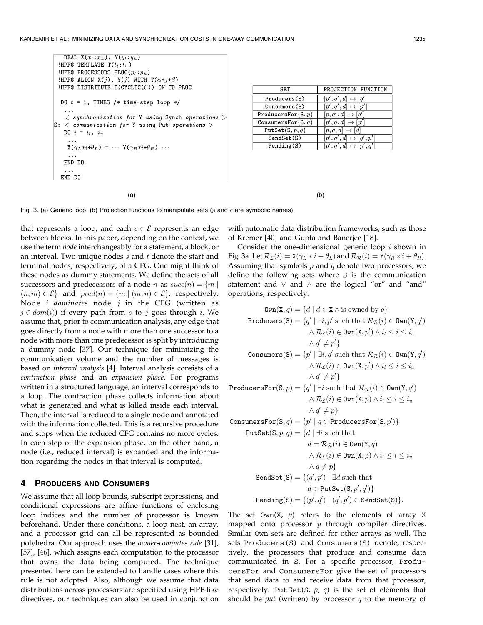```
REAL X(x_l:x_u), Y(y_l:y_u)!HPF$ TEMPLATE T(t_l : t_u)
 !HPF$ PROCESSORS PROC(p_l:p_u)!HPF$ ALIGN X(j), Y(j) WITH T(\alpha * j + \beta)!HPF$ DISTRIBUTE T(CYCLIC(C)) ON TO PROC
  DO t = 1, TIMES /* time-step loop */
   < synchronization for Y using Synch operations >S: < communication for Y using Put operations >
   DO i = i_l, i_uX(\gamma_L * i + \theta_L) = \cdots Y(\gamma_R * i + \theta_R) \cdots\sim \simEND DO
    \sim \sim \simEND DO
```

| <b>SET</b>            | PROJECTION FUNCTION                |
|-----------------------|------------------------------------|
| Producers(S)          | $ p',q',d  \mapsto$<br> q'         |
| Consumer(S)           | $ p',q',d \mapsto [p']$            |
| ProducersFor $(S, p)$ | $ p,q',d \mapsto [q']$             |
| ConsumersFor $(S, q)$ | $[p', q, d] \mapsto \overline{p'}$ |
| PutSet $(S, p, q)$    | $ p,q,d \mapsto  d $               |
| SendSet(S)            | $[p', q', d] \mapsto [q', p']$     |
| Pending(S)            | $[p', q', d] \mapsto [p', q']$     |

 $(a)$ 

 $(b)$ 

Fig. 3. (a) Generic loop. (b) Projection functions to manipulate sets (p and q are symbolic names).

that represents a loop, and each  $e \in \mathcal{E}$  represents an edge between blocks. In this paper, depending on the context, we use the term node interchangeably for a statement, a block, or an interval. Two unique nodes  $s$  and  $t$  denote the start and terminal nodes, respectively, of a CFG. One might think of these nodes as dummy statements. We define the sets of all successors and predecessors of a node *n* as  $succ(n) = \{m \mid$  $(n, m) \in \mathcal{E}$  and  $pred(n) = \{m \mid (m, n) \in \mathcal{E}\}$ , respectively. Node  $i$  dominates node  $j$  in the CFG (written as  $j \in dom(i)$ ) if every path from s to j goes through i. We assume that, prior to communication analysis, any edge that goes directly from a node with more than one successor to a node with more than one predecessor is split by introducing a dummy node [37]. Our technique for minimizing the communication volume and the number of messages is based on interval analysis [4]. Interval analysis consists of a contraction phase and an expansion phase. For programs written in a structured language, an interval corresponds to a loop. The contraction phase collects information about what is generated and what is killed inside each interval. Then, the interval is reduced to a single node and annotated with the information collected. This is a recursive procedure and stops when the reduced CFG contains no more cycles. In each step of the expansion phase, on the other hand, a node (i.e., reduced interval) is expanded and the information regarding the nodes in that interval is computed.

#### 4 PRODUCERS AND CONSUMERS

We assume that all loop bounds, subscript expressions, and conditional expressions are affine functions of enclosing loop indices and the number of processor is known beforehand. Under these conditions, a loop nest, an array, and a processor grid can all be represented as bounded polyhedra. Our approach uses the owner-computes rule [31], [57], [46], which assigns each computation to the processor that owns the data being computed. The technique presented here can be extended to handle cases where this rule is not adopted. Also, although we assume that data distributions across processors are specified using HPF-like directives, our techniques can also be used in conjunction with automatic data distribution frameworks, such as those of Kremer [40] and Gupta and Banerjee [18].

Consider the one-dimensional generic loop  $i$  shown in Fig. 3a. Let  $\mathcal{R}_{\mathcal{L}}(i) = \mathbf{X}(\gamma_L * i + \theta_L)$  and  $\mathcal{R}_{\mathcal{R}}(i) = \mathbf{Y}(\gamma_R * i + \theta_R)$ . Assuming that symbols  $p$  and  $q$  denote two processors, we define the following sets where S is the communication statement and  $\vee$  and  $\wedge$  are the logical "or" and "and" operations, respectively:

$$
\text{Own}(X, q) = \{d \mid d \in X \land \text{ is owned by } q\}
$$
\n
$$
\text{Producers}(S) = \{q' \mid \exists i, p' \text{ such that } \mathcal{R}_{\mathcal{R}}(i) \in \text{Own}(Y, q') \land \mathcal{R}_{\mathcal{L}}(i) \in \text{Own}(X, p') \land i_l \le i \le i_u \land q' \ne p'\}
$$
\n
$$
\text{Consumes}(S) = \{p' \mid \exists i, q' \text{ such that } \mathcal{R}_{\mathcal{R}}(i) \in \text{Own}(Y, q') \land \mathcal{R}_{\mathcal{L}}(i) \in \text{Own}(X, p') \land i_l \le i \le i_u \land q' \ne p'\}
$$
\n
$$
\text{dversFor}(S, n) = \{q' \mid \exists i \text{ such that } \mathcal{R}_{\mathcal{R}}(i) \in \text{Own}(X, q') \land i_l \le i \le i_u \land q' \ne p'\}
$$

ProducersFor $(S, p) = \{q' \mid \exists i \text{ such that } \mathcal{R}_{\mathcal{R}}(i) \in \text{Own}(Y, q')\}$  $\land \mathcal{R}_\mathcal{L}(i) \in \text{Own}(X, p) \land i_l \leq i \leq i_u$  $\wedge$  d'  $\neq$  p}

 $\texttt{ConsumerFor}(\texttt{S},q)=\{p'\mid q\in\texttt{ProductsFor}(\texttt{S}, p')\}$ PutSet $(S, p, q) = \{d \mid \exists i \text{ such that}$  $d = \mathcal{R}_{\mathcal{R}}(i) \in \text{Own}(Y, q)$  $\land \mathcal{R}_{\mathcal{L}}(i) \in \text{Own}(X, p) \land i_l \leq i \leq i_u$  $\wedge q \neq p$ SendSet $(S) = \{(q', p') \mid \exists d \text{ such that}$  $d \in \texttt{PutSet}(\texttt{S}, p', q')\}$  $\texttt{Pending}(S) = \{ (p', q') \mid (q', p') \in \texttt{SendSet}(S) \}.$ 

The set Own $(X, p)$  refers to the elements of array X mapped onto processor  $p$  through compiler directives. Similar Own sets are defined for other arrays as well. The sets Producers(S) and Consumers(S) denote, respectively, the processors that produce and consume data communicated in S. For a specific processor, ProducersFor and ConsumersFor give the set of processors that send data to and receive data from that processor, respectively. PutSet(S,  $p$ ,  $q$ ) is the set of elements that should be  $put$  (written) by processor  $q$  to the memory of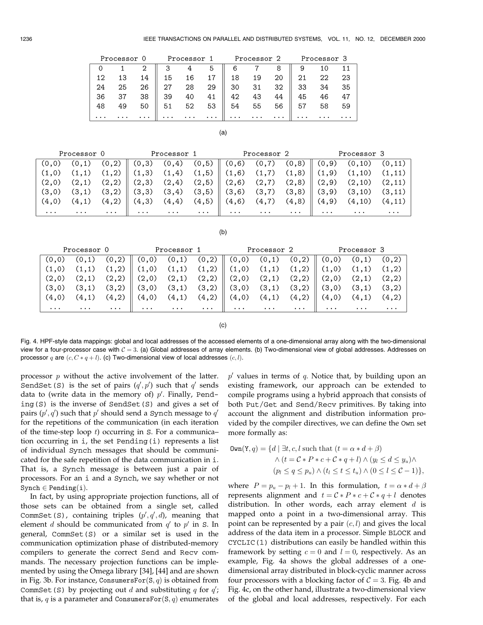|          | Processor 0 |          | Processor 1 |          |          | Processor 2 |    |          | Processor 3 |    |    |
|----------|-------------|----------|-------------|----------|----------|-------------|----|----------|-------------|----|----|
|          |             |          |             |          | 5        |             |    | 8        |             | 10 |    |
| 12       | 13          | 14       | 15          | 16       |          |             | 19 | 20       |             | 22 | 23 |
| 24       | 25          | 26       |             | 28       | 29       | 30          |    | 32       | 33          | 34 | 35 |
| 36       |             | 38       | 39          | 40       | 41       | 42          | 43 | 44       | 45          | 46 |    |
| 48       | 49          | 50       | 51          | 52       | 53       | 54          | 55 | 56       | 57          | 58 | 59 |
| $\cdots$ | $\cdots$    | $\cdots$ | $\cdots$    | $\cdots$ | $\cdots$ | $\cdots$    | .  | $\cdots$ |             | .  |    |

 $(a)$ 

| Processor 0 |                 |                                 |                         |          |                                         | Processor 1 Processor 2 |  |          | Processor 3 |                                                                                                   |  |
|-------------|-----------------|---------------------------------|-------------------------|----------|-----------------------------------------|-------------------------|--|----------|-------------|---------------------------------------------------------------------------------------------------|--|
| (0,0)       |                 |                                 |                         |          |                                         |                         |  |          |             | $(0,1)$ $(0,2)$ $(0,3)$ $(0,4)$ $(0,5)$ $(0,6)$ $(0,7)$ $(0,8)$ $(0,9)$ $(0,10)$ $(0,11)$         |  |
|             | $(1,0)$ $(1,1)$ |                                 | $(1,2)$ $(1,3)$ $(1,4)$ |          | $(1,5)$ $(1,6)$ $(1,7)$ $(1,8)$ $(1,9)$ |                         |  |          |             | $(1,10)$ $(1,11)$                                                                                 |  |
|             |                 |                                 |                         |          |                                         |                         |  |          |             | $(2,0)$ $(2,1)$ $(2,2)$ $(2,3)$ $(2,4)$ $(2,5)$ $(2,6)$ $(2,7)$ $(2,8)$ $(2,9)$ $(2,10)$ $(2,11)$ |  |
| (3,0)       | (3,1)           |                                 |                         |          |                                         |                         |  |          |             | $(3,2)$ $(3,3)$ $(3,4)$ $(3,5)$ $(3,6)$ $(3,7)$ $(3,8)$ $(3,9)$ $(3,10)$ $(3,11)$                 |  |
|             |                 | $(4,0)$ $(4,1)$ $(4,2)$ $(4,3)$ |                         |          |                                         |                         |  |          |             | $(4,4)$ $(4,5)$ $(4,6)$ $(4,7)$ $(4,8)$ $(4,9)$ $(4,10)$ $(4,11)$                                 |  |
| $\cdots$    |                 | $\cdots$                        | $\cdots$                | $\cdots$ | $\cdots$                                |                         |  | $\cdots$ |             |                                                                                                   |  |

|          | Processor 0 |          | Processor 1 |          |          |          | Processor 2 |          | Processor 3 |          |          |
|----------|-------------|----------|-------------|----------|----------|----------|-------------|----------|-------------|----------|----------|
| (0,0)    | (0,1)       | (0,2)    | (0,0)       | (0,1)    | (0,2)    | (0,0)    | (0,1)       | (0,2)    | (0,0)       | (0,1)    | (0, 2)   |
| (1,0)    |             | (1,2)    |             |          | (1,2)    | (1,0)    | (1,1)       | (1,2)    | (1,0)       |          | (1,2)    |
| (2,0)    |             | (2,2)    | (2,0)       | (2,1)    | (2,2)    | (2,0)    | (2,1)       | (2,2)    | (2,0)       | (2,1)    | (2,2)    |
| (3,0)    | (3,1)       | (3,2)    | (3,0)       | (3,1)    | (3,2)    | (3,0)    | (3,1)       | (3,2)    | (3,0)       | (3,1)    | (3,2)    |
| (4,0)    | (4,1)       | (4,2)    | (4,0)       | (4,1)    | (4,2)    | (4,0)    | (4,1)       | (4,2)    | (4,0)       | (4,1)    | (4,2)    |
| $\cdots$ | $\cdots$    | $\cdots$ | $\cdots$    | $\cdots$ | $\cdots$ | $\cdots$ |             | $\cdots$ | $\cdots$    | $\cdots$ | $\cdots$ |

 $(c)$ 

Fig. 4. HPF-style data mappings: global and local addresses of the accessed elements of a one-dimensional array along with the two-dimensional view for a four-processor case with  $C = 3$ . (a) Global addresses of array elements. (b) Two-dimensional view of global addresses. Addresses on processor q are  $(c, C \cdot q + l)$ . (c) Two-dimensional view of local addresses  $(c, l)$ .

processor  $p$  without the active involvement of the latter. SendSet (S) is the set of pairs  $(q', p')$  such that  $q'$  sends data to (write data in the memory of)  $p'$ . Finally, Pending(S) is the inverse of SendSet(S) and gives a set of pairs  $(p', q')$  such that  $p'$  should send a Synch message to  $q'$ for the repetitions of the communication (in each iteration of the time-step loop  $t$ ) occurring in S. For a communication occurring in i, the set Pending(i) represents a list of individual Synch messages that should be communicated for the safe repetition of the data communication in i. That is, a Synch message is between just a pair of processors. For an i and a Synch, we say whether or not  $Synch \in *Pending(i)*.$ 

In fact, by using appropriate projection functions, all of those sets can be obtained from a single set, called CommSet (S), containing triples  $(p', q', d)$ , meaning that element d should be communicated from  $q'$  to  $p'$  in S. In general, CommSet(S) or a similar set is used in the communication optimization phase of distributed-memory compilers to generate the correct Send and Recv commands. The necessary projection functions can be implemented by using the Omega library [34], [44] and are shown in Fig. 3b. For instance, ConsumersFor $(S, q)$  is obtained from CommSet (S) by projecting out  $d$  and substituting  $q$  for  $q'$ ; that is, q is a parameter and ConsumersFor $(S, q)$  enumerates

 $p'$  values in terms of q. Notice that, by building upon an existing framework, our approach can be extended to compile programs using a hybrid approach that consists of both Put/Get and Send/Recv primitives. By taking into account the alignment and distribution information provided by the compiler directives, we can define the Own set more formally as:

$$
\begin{aligned}\n\text{Own}(Y, q) &= \{d \mid \exists t, c, l \text{ such that } (t = \alpha * d + \beta) \\
&\quad \wedge (t = \mathcal{C} * P * c + \mathcal{C} * q + l) \wedge (y_l \le d \le y_u) \wedge \\
&\quad (p_l \le q \le p_u) \wedge (t_l \le t \le t_u) \wedge (0 \le l \le \mathcal{C} - 1)\},\n\end{aligned}
$$

where  $P = p_u - p_l + 1$ . In this formulation,  $t = \alpha * d + \beta$ represents alignment and  $t = C \times P \times c + C \times q + l$  denotes distribution. In other words, each array element  $d$  is mapped onto a point in a two-dimensional array. This point can be represented by a pair  $(c, l)$  and gives the local address of the data item in a processor. Simple BLOCK and CYCLIC(1) distributions can easily be handled within this framework by setting  $c = 0$  and  $l = 0$ , respectively. As an example, Fig. 4a shows the global addresses of a onedimensional array distributed in block-cyclic manner across four processors with a blocking factor of  $C = 3$ . Fig. 4b and Fig. 4c, on the other hand, illustrate a two-dimensional view of the global and local addresses, respectively. For each

 $(b)$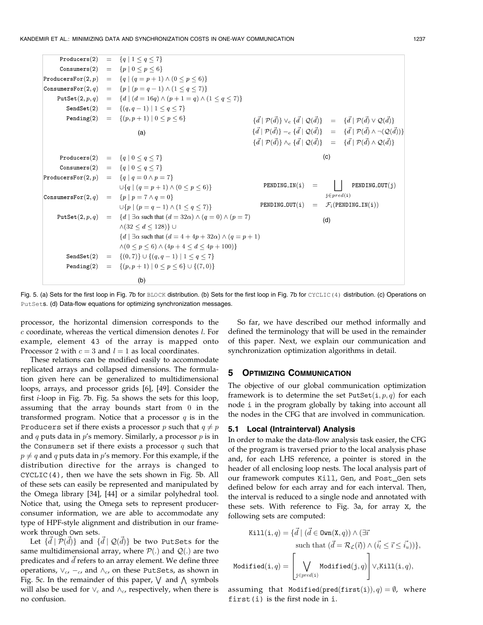|                                                      | Producers(2) = $\{q   1 \leq q \leq 7\}$                                                            |                                                                                                                                                            |  |
|------------------------------------------------------|-----------------------------------------------------------------------------------------------------|------------------------------------------------------------------------------------------------------------------------------------------------------------|--|
|                                                      | Consumers(2) $= \{p   0 \leq p \leq 6\}$                                                            |                                                                                                                                                            |  |
|                                                      | ProducersFor $(2, p) = {q   (q = p + 1) \wedge (0 \le p \le 6)}$                                    |                                                                                                                                                            |  |
|                                                      | ConsumersFor $(2,q) = {p   (p = q - 1) \wedge (1 \leq q \leq 7)}$                                   |                                                                                                                                                            |  |
|                                                      | PutSet(2, p, q) = {d   (d = 16q) $\land$ (p + 1 = q) $\land$ (1 $\leq$ q $\leq$ 7)}                 |                                                                                                                                                            |  |
|                                                      | SendSet(2) = $\{(q, q-1)   1 < q < 7\}$                                                             |                                                                                                                                                            |  |
|                                                      | Pending(2) = { $(p, p + 1)   0 < p < 6$ }                                                           | $\{\vec{d} \mid \mathcal{P}(\vec{d})\} \vee_c \{\vec{d} \mid \mathcal{Q}(\vec{d})\}$ = $\{\vec{d} \mid \mathcal{P}(\vec{d}) \vee \mathcal{Q}(\vec{d})\}$   |  |
|                                                      | (a)                                                                                                 | $\{\vec{d}\mid \mathcal{P}(\vec{d})\} - c \{\vec{d}\mid \mathcal{Q}(\vec{d})\} = \{\vec{d}\mid \mathcal{P}(\vec{d}) \wedge \neg (\mathcal{Q}(\vec{d}))\}$  |  |
|                                                      |                                                                                                     | $\{\vec{d} \mid \mathcal{P}(\vec{d})\}\wedge_c \{\vec{d} \mid \mathcal{Q}(\vec{d})\}$ = $\{\vec{d} \mid \mathcal{P}(\vec{d})\wedge \mathcal{Q}(\vec{d})\}$ |  |
|                                                      | Producers(2) = $\{q   0 \leq q \leq 7\}$                                                            | (c)                                                                                                                                                        |  |
|                                                      | Consumers(2) = $\{q   0 \leq q \leq 7\}$                                                            |                                                                                                                                                            |  |
| ProducersFor $(2, p)$ = { $q   q = 0 \wedge p = 7$ } |                                                                                                     |                                                                                                                                                            |  |
|                                                      | $\bigcup \{ q   (q = p + 1) \wedge (0 \leq p \leq 6) \}$                                            | $PENDING_IN(i) =$<br>$PENDING_OUT(i)$                                                                                                                      |  |
| ConsumersFor $(2,q)$ = { $p   p = 7 \wedge q = 0$ }  |                                                                                                     | $j\in pred(i)$                                                                                                                                             |  |
|                                                      | $\bigcup \{ p \mid (p = q - 1) \wedge (1 \leq q \leq 7) \}$                                         | PENDING_OUT(i) = $\mathcal{F}_i$ (PENDING_IN(i))                                                                                                           |  |
|                                                      | PutSet $(2, p, q)$ = {d   $\exists \alpha$ such that $(d = 32\alpha) \wedge (q = 0) \wedge (p = 7)$ | (d)                                                                                                                                                        |  |
|                                                      | $\wedge (32 \leq d \leq 128)$ U                                                                     |                                                                                                                                                            |  |
|                                                      | $\{d \mid \exists \alpha \text{ such that } (d = 4 + 4p + 32\alpha) \wedge (q = p + 1) \}$          |                                                                                                                                                            |  |
|                                                      | $\wedge (0 \le p \le 6) \wedge (4p + 4 \le d \le 4p + 100)$                                         |                                                                                                                                                            |  |
| SendSet(2)                                           | $= \{(0,7)\}\cup \{(q,q-1)   1 \leq q \leq 7\}$                                                     |                                                                                                                                                            |  |
| Pending(2)                                           | $= \{(p, p + 1)   0 \leq p \leq 6\} \cup \{(7, 0)\}\$                                               |                                                                                                                                                            |  |
|                                                      | (b)                                                                                                 |                                                                                                                                                            |  |

Fig. 5. (a) Sets for the first loop in Fig. 7b for BLOCK distribution. (b) Sets for the first loop in Fig. 7b for CYCLIC(4) distribution. (c) Operations on PutSets. (d) Data-flow equations for optimizing synchronization messages.

processor, the horizontal dimension corresponds to the  $c$  coordinate, whereas the vertical dimension denotes  $l$ . For example, element 43 of the array is mapped onto Processor 2 with  $c = 3$  and  $l = 1$  as local coordinates.

These relations can be modified easily to accommodate replicated arrays and collapsed dimensions. The formulation given here can be generalized to multidimensional loops, arrays, and processor grids [6], [49]. Consider the first i-loop in Fig. 7b. Fig. 5a shows the sets for this loop, assuming that the array bounds start from 0 in the transformed program. Notice that a processor  $q$  is in the Producers set if there exists a processor p such that  $q \neq p$ and  $q$  puts data in  $p'$ s memory. Similarly, a processor  $p$  is in the Consumers set if there exists a processor  $q$  such that  $p \neq q$  and q puts data in p's memory. For this example, if the distribution directive for the arrays is changed to CYCLIC(4), then we have the sets shown in Fig. 5b. All of these sets can easily be represented and manipulated by the Omega library [34], [44] or a similar polyhedral tool. Notice that, using the Omega sets to represent producerconsumer information, we are able to accommodate any type of HPF-style alignment and distribution in our framework through Own sets.

Let  $\{\vec{d} \mid \vec{\mathcal{P}}(\vec{d})\}$  and  $\{\vec{d} \mid \mathcal{Q}(\vec{d})\}$  be two PutSets for the same multidimensional array, where  $P(.)$  and  $Q(.)$  are two predicates and  $\vec{d}$  refers to an array element. We define three operations,  $\vee_{c}$ ,  $\neg_{c}$ , and  $\wedge_{c}$ , on these PutSets, as shown in Fig. 5c. In the remainder of this paper,  $\vee$  and  $\wedge$  symbols will also be used for  $\vee_c$  and  $\wedge_c$ , respectively, when there is no confusion.

So far, we have described our method informally and defined the terminology that will be used in the remainder of this paper. Next, we explain our communication and synchronization optimization algorithms in detail.

#### 5 OPTIMIZING COMMUNICATION

The objective of our global communication optimization framework is to determine the set PutSet $(i, p, q)$  for each node i in the program globally by taking into account all the nodes in the CFG that are involved in communication.

## 5.1 Local (Intrainterval) Analysis

In order to make the data-flow analysis task easier, the CFG of the program is traversed prior to the local analysis phase and, for each LHS reference, a pointer is stored in the header of all enclosing loop nests. The local analysis part of our framework computes Kill, Gen, and Post\_Gen sets defined below for each array and for each interval. Then, the interval is reduced to a single node and annotated with these sets. With reference to Fig. 3a, for array X, the following sets are computed:

$$
\texttt{Kill}(i, q) = \{ \vec{d} \mid (\vec{d} \in \texttt{Own}(X, q)) \land (\exists \vec{i} \text{ such that } (\vec{d} = \mathcal{R}_{\mathcal{L}}(\vec{i})) \land (\vec{i_l} \leq \vec{i} \leq \vec{i_u})) \},
$$
\n
$$
\texttt{Modified}(i, q) = \left[ \bigvee_{j \in pred(i)} \texttt{Modified}(j, q) \right] \lor_c \texttt{Kill}(i, q),
$$

assuming that Modified(pred(first(i)),  $q$ ) =  $\emptyset$ , where first(i) is the first node in i.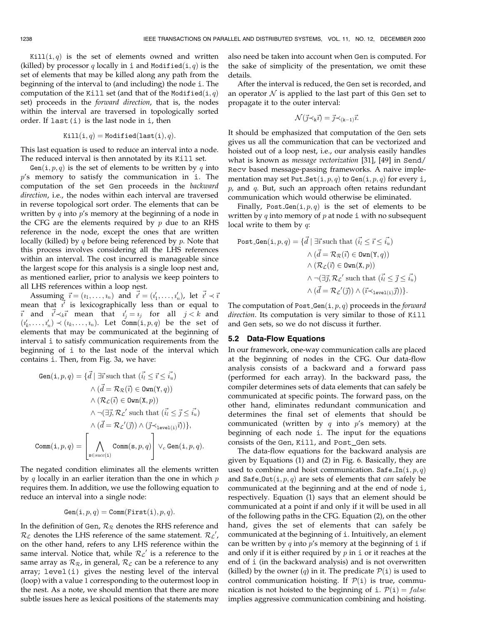$Kill(i, q)$  is the set of elements owned and written (killed) by processor q locally in i and Modified $(i, q)$  is the set of elements that may be killed along any path from the beginning of the interval to (and including) the node i. The computation of the Kill set (and that of the Modified $(i, q)$ set) proceeds in the *forward direction*, that is, the nodes within the interval are traversed in topologically sorted order. If last(i) is the last node in i, then

$$
\mathtt{Kill}(i,q) = \mathtt{Modified}(\mathtt{last}(i),q).
$$

This last equation is used to reduce an interval into a node. The reduced interval is then annotated by its Kill set.

Gen(i,  $p$ ,  $q$ ) is the set of elements to be written by q into p's memory to satisfy the communication in i. The computation of the set Gen proceeds in the backward direction, i.e., the nodes within each interval are traversed in reverse topological sort order. The elements that can be written by  $q$  into  $p'$ s memory at the beginning of a node in the CFG are the elements required by  $p$  due to an RHS reference in the node, except the ones that are written locally (killed) by q before being referenced by  $p$ . Note that this process involves considering all the LHS references within an interval. The cost incurred is manageable since the largest scope for this analysis is a single loop nest and, as mentioned earlier, prior to analysis we keep pointers to all LHS references within a loop nest.

Assuming  $\vec{i} = (i_1, \ldots, i_n)$  and  $\vec{i'} = (i'_1, \ldots, i'_n)$ , let  $\vec{i'} \prec \vec{i}$ mean that  $\vec{i}$  is lexicographically less than or equal to  $\vec{i}$  and  $\vec{i}' \prec_k \vec{i}$  mean that  $i'_j = i_j$  for all  $j < k$  and  $(i'_k, \ldots, i'_n) \prec (i_k, \ldots, i_n)$ . Let Comm $(i, p, q)$  be the set of elements that may be communicated at the beginning of interval i to satisfy communication requirements from the beginning of i to the last node of the interval which contains i. Then, from Fig. 3a, we have:

$$
\begin{aligned} \texttt{Gen}(\mathtt{i},p,q) = \{ \vec{d} \mid \exists \vec{\imath} \text{ such that } (\vec{i}_l \leq \vec{\imath} \leq \vec{i_u}) \\ &\qquad \wedge (\vec{d} = \mathcal{R}_{\mathcal{R}}(\vec{\imath}) \in \texttt{Own}(\mathtt{Y},q)) \\ &\qquad \wedge (\mathcal{R}_{\mathcal{L}}(\vec{\imath}) \in \texttt{Own}(\mathtt{X},p)) \\ &\qquad \wedge \neg (\exists \vec{\jmath}, \mathcal{R}_{\mathcal{L}}' \text{ such that } (\vec{i_l} \leq \vec{\jmath} \leq \vec{i_u}) \\ &\qquad \wedge (\vec{d} = \mathcal{R}_{\mathcal{L}}'(\vec{\jmath})) \wedge (\vec{\jmath} \prec_{\texttt{level}(\mathtt{i})} \vec{\imath})) \}, \\ \texttt{Comm}(\mathtt{i},p,q) = \left[ \bigwedge_{\mathbf{s} \in \mathit{succ}(\mathtt{i})} \texttt{Comm}(\mathbf{s},p,q) \right] \vee_c \texttt{Gen}(\mathtt{i},p,q). \end{aligned}
$$

The negated condition eliminates all the elements written by q locally in an earlier iteration than the one in which  $p$ requires them. In addition, we use the following equation to reduce an interval into a single node:

$$
\mathtt{Gen}(\mathtt{i},p,q) = \mathtt{Comm}(\mathtt{First}(\mathtt{i}),p,q).
$$

In the definition of Gen,  $\mathcal{R}_{\mathcal{R}}$  denotes the RHS reference and  $\mathcal{R}_{\mathcal{L}}$  denotes the LHS reference of the same statement.  $\mathcal{R}_{\mathcal{L}}'$ , on the other hand, refers to any LHS reference within the same interval. Notice that, while  $\mathcal{R}_{\mathcal{L}}'$  is a reference to the same array as  $\mathcal{R}_{\mathcal{R}}$ , in general,  $\mathcal{R}_{\mathcal{L}}$  can be a reference to any array; level(i) gives the nesting level of the interval (loop) with a value 1 corresponding to the outermost loop in the nest. As a note, we should mention that there are more subtle issues here as lexical positions of the statements may also need be taken into account when Gen is computed. For the sake of simplicity of the presentation, we omit these details.

After the interval is reduced, the Gen set is recorded, and an operator  $N$  is applied to the last part of this Gen set to propagate it to the outer interval:

$$
\mathcal{N}(\vec{j}\prec_{k}\vec{i})=\vec{j}\prec_{(k-1)}\vec{i}.
$$

It should be emphasized that computation of the Gen sets gives us all the communication that can be vectorized and hoisted out of a loop nest, i.e., our analysis easily handles what is known as message vectorization [31], [49] in Send/ Recv based message-passing frameworks. A naive implementation may set Put Set $(i, p, q)$  to Gen $(i, p, q)$  for every i,  $p$ , and  $q$ . But, such an approach often retains redundant communication which would otherwise be eliminated.

Finally, Post Gen $(i, p, q)$  is the set of elements to be written by  $q$  into memory of  $p$  at node i with no subsequent local write to them by  $q$ :

$$
\begin{aligned}\n\text{Post\_Gen}(\mathtt{i}, p, q) &= \{ \vec{d} \mid \exists \vec{\imath} \text{ such that } (\vec{i_l} \leq \vec{\imath} \leq \vec{i_u}) \\
&\wedge (\vec{d} = \mathcal{R}_{\mathcal{R}}(\vec{\imath}) \in \text{Own}(\mathtt{Y}, q)) \\
&\wedge (\mathcal{R}_{\mathcal{L}}(\vec{\imath}) \in \text{Own}(\mathtt{X}, p)) \\
&\wedge \neg(\exists \vec{\jmath}, \mathcal{R}_{\mathcal{L}}' \text{ such that } (\vec{i_l} \leq \vec{\jmath} \leq \vec{i_u}) \\
&\wedge (\vec{d} = \mathcal{R}_{\mathcal{L}}'(\vec{\jmath})) \wedge (\vec{\imath} \prec_{\text{level}(\mathtt{i})} \vec{\jmath})) \}.\n\end{aligned}
$$

The computation of Post Gen $(i, p, q)$  proceeds in the forward direction. Its computation is very similar to those of Kill and Gen sets, so we do not discuss it further.

#### 5.2 Data-Flow Equations

In our framework, one-way communication calls are placed at the beginning of nodes in the CFG. Our data-flow analysis consists of a backward and a forward pass (performed for each array). In the backward pass, the compiler determines sets of data elements that can safely be communicated at specific points. The forward pass, on the other hand, eliminates redundant communication and determines the final set of elements that should be communicated (written by  $q$  into  $p$ 's memory) at the beginning of each node i. The input for the equations consists of the Gen, Kill, and Post\_Gen sets.

The data-flow equations for the backward analysis are given by Equations (1) and (2) in Fig. 6. Basically, they are used to combine and hoist communication. Safe\_In(i,  $p$ ,  $q$ ) and Safe Out $(i, p, q)$  are sets of elements that *can* safely be communicated at the beginning and at the end of node i, respectively. Equation (1) says that an element should be communicated at a point if and only if it will be used in all of the following paths in the CFG. Equation (2), on the other hand, gives the set of elements that can safely be communicated at the beginning of i. Intuitively, an element can be written by q into  $p'$ s memory at the beginning of i if and only if it is either required by  $p$  in  $\mathbf i$  or it reaches at the end of i (in the backward analysis) and is not overwritten (killed) by the owner (q) in it. The predicate  $P(i)$  is used to control communication hoisting. If  $P(i)$  is true, communication is not hoisted to the beginning of i.  $P(i) = false$ implies aggressive communication combining and hoisting.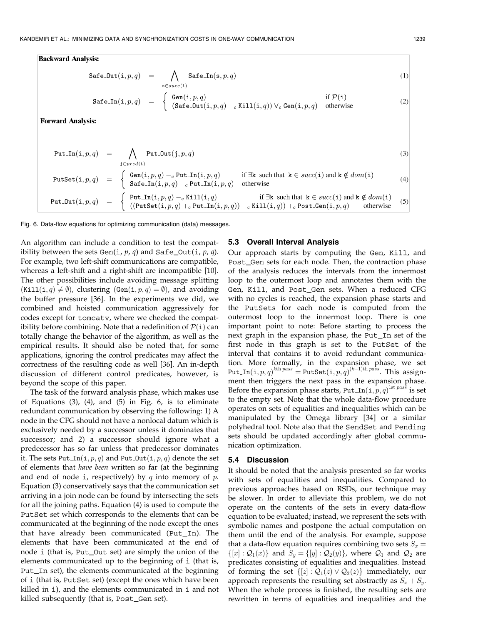$(2)$ 

#### **Backward Analysis:**

$$
\text{Safe\_Out}(i, p, q) = \bigwedge_{s \in succ(i)} \text{Safe\_In}(s, p, q) \tag{1}
$$

$$
\texttt{fe-In}(\texttt{i},p,q) \quad = \quad \left\{ \begin{array}{ll} \texttt{Gen}(\texttt{i},p,q) & \texttt{if} \ \mathcal{P}(\texttt{i}) \\ (\texttt{Safe\_Out}(\texttt{i},p,q) -_c \texttt{Kill}(\texttt{i},q)) \lor_c \texttt{Gen}(\texttt{i},p,q) & \text{otherwise} \end{array} \right.
$$

**Forward Analysis:** 

Sa

Put-In(i, p, q) = 
$$
\bigwedge_{j \in pred(i)}
$$
 Put.Dut(j, p, q)   
\nPutSet(i, p, q) =  $\begin{cases} Gen(i, p, q) - c \text{ Put-In}(i, p, q) & \text{if } \exists k \text{ such that } k \in succ(i) \text{ and } k \notin dom(i) \\ Safe-In(i, p, q) - c \text{ Put-In}(i, p, q) & \text{otherwise} \end{cases}$  (3)  
\nPut-Out(i, p, q) =  $\begin{cases} Put-In(i, p, q) - c \text{ KitIn}(i, p, q) & \text{if } \exists k \text{ such that } k \in succ(i) \text{ and } k \notin dom(i) \\ ((PutSet(i, p, q) + c \text{ Put-In}(i, p, q)) - c \text{ KilI}(i, q)) + c \text{ Post-Ien}(i, p, q) & \text{otherwise} \end{cases}$  (5)

Fig. 6. Data-flow equations for optimizing communication (data) messages.

An algorithm can include a condition to test the compatibility between the sets Gen(i,  $p$ ,  $q$ ) and Safe\_Out(i,  $p$ ,  $q$ ). For example, two left-shift communications are compatible, whereas a left-shift and a right-shift are incompatible [10]. The other possibilities include avoiding message splitting  $(Ki11(i, q) \neq \emptyset)$ , clustering  $(Gen(i, p, q) = \emptyset)$ , and avoiding the buffer pressure [36]. In the experiments we did, we combined and hoisted communication aggressively for codes except for tomcatv, where we checked the compatibility before combining. Note that a redefinition of  $P(i)$  can totally change the behavior of the algorithm, as well as the empirical results. It should also be noted that, for some applications, ignoring the control predicates may affect the correctness of the resulting code as well [36]. An in-depth discussion of different control predicates, however, is beyond the scope of this paper.

The task of the forward analysis phase, which makes use of Equations (3), (4), and (5) in Fig. 6, is to eliminate redundant communication by observing the following: 1) A node in the CFG should not have a nonlocal datum which is exclusively needed by a successor unless it dominates that successor; and 2) a successor should ignore what a predecessor has so far unless that predecessor dominates it. The sets Put In $(i, p, q)$  and Put Out $(i, p, q)$  denote the set of elements that have been written so far (at the beginning and end of node i, respectively) by  $q$  into memory of  $p$ . Equation (3) conservatively says that the communication set arriving in a join node can be found by intersecting the sets for all the joining paths. Equation (4) is used to compute the PutSet set which corresponds to the elements that can be communicated at the beginning of the node except the ones that have already been communicated (Put\_In). The elements that have been communicated at the end of node i (that is, Put\_Out set) are simply the union of the elements communicated up to the beginning of *i* (that is, Put\_In set), the elements communicated at the beginning of i (that is, PutSet set) (except the ones which have been killed in i), and the elements communicated in i and not killed subsequently (that is, Post\_Gen set).

#### 5.3 Overall Interval Analysis

Our approach starts by computing the Gen, Kill, and Post\_Gen sets for each node. Then, the contraction phase of the analysis reduces the intervals from the innermost loop to the outermost loop and annotates them with the Gen, Kill, and Post\_Gen sets. When a reduced CFG with no cycles is reached, the expansion phase starts and the PutSets for each node is computed from the outermost loop to the innermost loop. There is one important point to note: Before starting to process the next graph in the expansion phase, the Put\_In set of the first node in this graph is set to the PutSet of the interval that contains it to avoid redundant communication. More formally, in the expansion phase, we set  $\text{\rm Put\_In}( \texttt{i}, p, q )^{\text{\rm kth~pass}} = \text{\rm PutSet}( \texttt{i}, p, q )^{(k-1)\text{\rm th~pass}}. \ \text{This assignment}$ ment then triggers the next pass in the expansion phase. Before the expansion phase starts, Put<sub>-In</sub>(i, p, q)<sup>1st pass</sup> is set to the empty set. Note that the whole data-flow procedure operates on sets of equalities and inequalities which can be manipulated by the Omega library [34] or a similar polyhedral tool. Note also that the SendSet and Pending sets should be updated accordingly after global communication optimization.

#### 5.4 Discussion

It should be noted that the analysis presented so far works with sets of equalities and inequalities. Compared to previous approaches based on RSDs, our technique may be slower. In order to alleviate this problem, we do not operate on the contents of the sets in every data-flow equation to be evaluated; instead, we represent the sets with symbolic names and postpone the actual computation on them until the end of the analysis. For example, suppose that a data-flow equation requires combining two sets  $S_x =$  $\{[x]:\mathcal{Q}_1(x)\}\$  and  $S_y = \{[y]:\mathcal{Q}_2(y)\}\$ , where  $\mathcal{Q}_1$  and  $\mathcal{Q}_2$  are predicates consisting of equalities and inequalities. Instead of forming the set  $\{[z]: Q_1(z) \vee Q_2(z)\}\$  immediately, our approach represents the resulting set abstractly as  $S_x + S_y$ . When the whole process is finished, the resulting sets are rewritten in terms of equalities and inequalities and the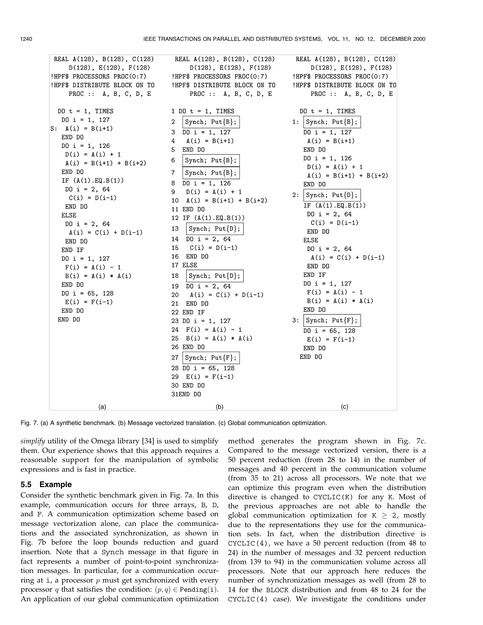| REAL A(128), B(128), C(128)    | REAL A(128), B(128), C(128)    | REAL A(128), B(128), C(128)                          |
|--------------------------------|--------------------------------|------------------------------------------------------|
| $D(128)$ , $E(128)$ , $F(128)$ | $D(128)$ , $E(128)$ , $F(128)$ | $D(128)$ , E(128), F(128)                            |
| !HPF\$ PROCESSORS PROC(0:7)    | !HPF\$ PROCESSORS PROC(0:7)    | !HPF\$ PROCESSORS PROC(0:7)                          |
| !HPF\$ DISTRIBUTE BLOCK ON TO  | !HPF\$ DISTRIBUTE BLOCK ON TO  | !HPF\$ DISTRIBUTE BLOCK ON TO                        |
| PROC :: A, B, C, D, E          | PROC :: A, B, C, D, E          | PROC :: A, B, C, D, E                                |
|                                |                                |                                                      |
| DO $t = 1$ , TIMES             | $1$ DO $t = 1$ , TIMES         | DO $t = 1$ , TIMES                                   |
| $D0 i = 1, 127$                | 2<br>Synch; $Put{B};$          | $ $ Synch; Put ${B};$<br>1:                          |
| $S: A(i) = B(i+1)$             |                                |                                                      |
| END DO                         | DO i = 1, 127<br>3             | DO i = 1, 127                                        |
| $D0$ i = 1, 126                | $A(i) = B(i+1)$<br>4<br>5      | $A(i) = B(i+1)$                                      |
| $D(i) = A(i) + 1$              | END DO                         | END DO                                               |
| $A(i) = B(i+1) + B(i+2)$       | Synch; $Put{B};$<br>6          | DO i = 1, 126<br>$D(i) = A(i) + 1$                   |
| END DO                         | Synch; $Put{B};$<br>7          | $A(i) = B(i+1) + B(i+2)$                             |
| IF $(A(1).EQ.B(1))$            | DO i = 1, 126<br>8             | END DO                                               |
| DO i = 2, 64                   | $D(i) = A(i) + 1$<br>9         |                                                      |
| $C(i) = D(i-1)$                | 10 $A(i) = B(i+1) + B(i+2)$    | $ $ Synch; Put $\{D\}$ ;<br>2:                       |
| END DO                         | 11 END DO                      | IF $(A(1).EQ.B(1))$                                  |
| ELSE                           | 12 IF $(A(1).EQ.B(1))$         | DO $i = 2, 64$                                       |
| DO i = 2, $64$                 | Synch; $Put{D};$<br>13         | $C(i) = D(i-1)$                                      |
| $A(i) = C(i) + D(i-1)$         |                                | END DO                                               |
| END DO                         | 14 DO i = 2, 64                | ELSE                                                 |
| END IF                         | $C(i) = D(i-1)$<br>15          | DO i = 2, $64$                                       |
| DO i = 1, 127                  | 16<br>END DO                   | $A(i) = C(i) + D(i-1)$                               |
| $F(i) = A(i) - 1$              | 17 ELSE                        | END DO                                               |
| $B(i) = A(i) * A(i)$           | Synch; $Put{D};$<br>18         | END IF                                               |
| END DO                         | 19 DO $i = 2, 64$              | $D0$ i = 1, 127                                      |
| DO i = $65$ , 128              | $A(i) = C(i) + D(i-1)$<br>20   | $F(i) = A(i) - 1$                                    |
| $E(i) = F(i-1)$                | 21<br>END DO                   | $B(i) = A(i) * A(i)$                                 |
| END DO                         | 22 END IF                      | END DO                                               |
| END DO                         | 23 DO i = 1, 127               | $ \texttt{Synch}; \texttt{Put}\{\texttt{F}\};$<br>3: |
|                                | $24$ F(i) = A(i) - 1           | DO i = $65$ , 128                                    |
|                                | $25 B(i) = A(i) * A(i)$        | $E(i) = F(i-1)$                                      |
|                                | 26 END DO                      | END DO                                               |
|                                | 27<br>$ $ Synch; Put ${F};$    | END DO                                               |
|                                | $28$ DO i = 65, 128            |                                                      |
|                                | 29 $E(i) = F(i-1)$             |                                                      |
|                                | 30 END DO                      |                                                      |
|                                | 31END DO                       |                                                      |
| (a)                            | (b)                            | (c)                                                  |
|                                |                                |                                                      |

Fig. 7. (a) A synthetic benchmark. (b) Message vectorized translation. (c) Global communication optimization.

simplify utility of the Omega library [34] is used to simplify them. Our experience shows that this approach requires a reasonable support for the manipulation of symbolic expressions and is fast in practice.

#### 5.5 Example

Consider the synthetic benchmark given in Fig. 7a. In this example, communication occurs for three arrays, B, D, and F. A communication optimization scheme based on message vectorization alone, can place the communications and the associated synchronization, as shown in Fig. 7b before the loop bounds reduction and guard insertion. Note that a Synch message in that figure in fact represents a number of point-to-point synchronization messages. In particular, for a communication occurring at  $i$ , a processor  $p$  must get synchronized with every processor q that satisfies the condition:  $(p, q) \in$  Pending(i). An application of our global communication optimization

method generates the program shown in Fig. 7c. Compared to the message vectorized version, there is a 50 percent reduction (from 28 to 14) in the number of messages and 40 percent in the communication volume (from 35 to 21) across all processors. We note that we can optimize this program even when the distribution directive is changed to CYCLIC(K) for any K. Most of the previous approaches are not able to handle the global communication optimization for  $K \geq 2$ , mostly due to the representations they use for the communication sets. In fact, when the distribution directive is CYCLIC(4), we have a 50 percent reduction (from  $48$  to 24) in the number of messages and 32 percent reduction (from 139 to 94) in the communication volume across all processors. Note that our approach here reduces the number of synchronization messages as well (from 28 to 14 for the BLOCK distribution and from 48 to 24 for the CYCLIC(4) case). We investigate the conditions under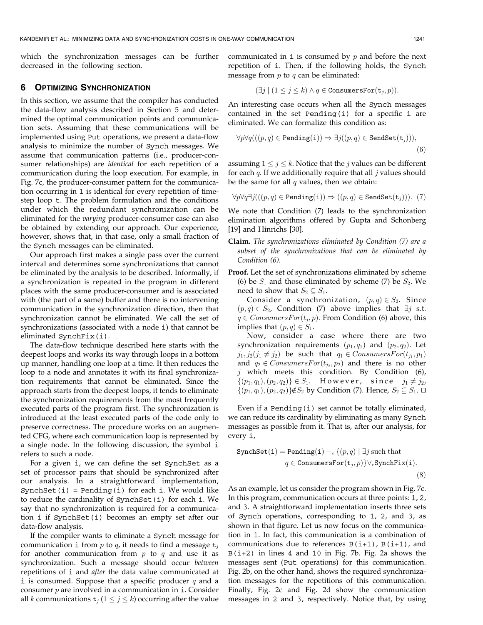which the synchronization messages can be further decreased in the following section.

## 6 OPTIMIZING SYNCHRONIZATION

In this section, we assume that the compiler has conducted the data-flow analysis described in Section 5 and determined the optimal communication points and communication sets. Assuming that these communications will be implemented using Put operations, we present a data-flow analysis to minimize the number of Synch messages. We assume that communication patterns (i.e., producer-consumer relationships) are *identical* for each repetition of a communication during the loop execution. For example, in Fig. 7c, the producer-consumer pattern for the communication occurring in 1 is identical for every repetition of timestep loop t. The problem formulation and the conditions under which the redundant synchronization can be eliminated for the varying producer-consumer case can also be obtained by extending our approach. Our experience, however, shows that, in that case, only a small fraction of the Synch messages can be eliminated.

Our approach first makes a single pass over the current interval and determines some synchronizations that cannot be eliminated by the analysis to be described. Informally, if a synchronization is repeated in the program in different places with the same producer-consumer and is associated with (the part of a same) buffer and there is no intervening communication in the synchronization direction, then that synchronization cannot be eliminated. We call the set of synchronizations (associated with a node i) that cannot be eliminated SynchFix(i).

The data-flow technique described here starts with the deepest loops and works its way through loops in a bottom up manner, handling one loop at a time. It then reduces the loop to a node and annotates it with its final synchronization requirements that cannot be eliminated. Since the approach starts from the deepest loops, it tends to eliminate the synchronization requirements from the most frequently executed parts of the program first. The synchronization is introduced at the least executed parts of the code only to preserve correctness. The procedure works on an augmented CFG, where each communication loop is represented by a single node. In the following discussion, the symbol i refers to such a node.

For a given i, we can define the set SynchSet as a set of processor pairs that should be synchronized after our analysis. In a straightforward implementation, SynchSet(i) = Pending(i) for each i. We would like to reduce the cardinality of SynchSet(i) for each i. We say that no synchronization is required for a communication i if SynchSet(i) becomes an empty set after our data-flow analysis.

If the compiler wants to eliminate a Synch message for communication i from p to q, it needs to find a message  $t_i$ for another communication from  $p$  to  $q$  and use it as synchronization. Such a message should occur between repetitions of i and after the data value communicated at i is consumed. Suppose that a specific producer  $q$  and a consumer  $p$  are involved in a communication in  $\exists$ . Consider all *k* communications  $t_j$  ( $1 \le j \le k$ ) occurring after the value

communicated in  $\mathbf i$  is consumed by  $p$  and before the next repetition of i. Then, if the following holds, the Synch message from  $p$  to  $q$  can be eliminated:

$$
(\exists j \mid (1 \leq j \leq k) \land q \in \texttt{ConsumesFor}(\mathtt{t}_j, p)).
$$

An interesting case occurs when all the Synch messages contained in the set Pending(i) for a specific i are eliminated. We can formalize this condition as:

$$
\forall p \forall q (((p, q) \in \text{Pending}(i)) \Rightarrow \exists j ((p, q) \in \text{SendSet}(\mathtt{t}_j))),
$$
\n
$$
(6)
$$

assuming  $1 \le j \le k$ . Notice that the j values can be different for each  $q$ . If we additionally require that all  $j$  values should be the same for all  $q$  values, then we obtain:

$$
\forall p \forall q \exists j (((p, q) \in \text{Pending(i)}) \Rightarrow ((p, q) \in \text{SendSet}(\mathtt{t}_j))). \tag{7}
$$

We note that Condition (7) leads to the synchronization elimination algorithms offered by Gupta and Schonberg [19] and Hinrichs [30].

- Claim. The synchronizations eliminated by Condition (7) are a subset of the synchronizations that can be eliminated by Condition (6).
- Proof. Let the set of synchronizations eliminated by scheme (6) be  $S_1$  and those eliminated by scheme (7) be  $S_2$ . We need to show that  $S_2 \subseteq S_1$ .

Consider a synchronization,  $(p, q) \in S_2$ . Since  $(p, q) \in S_2$ , Condition (7) above implies that  $\exists j$  s.t.  $q \in \mathit{ConsumesFor}(t_i, p)$ . From Condition (6) above, this implies that  $(p, q) \in S_1$ .

Now, consider a case where there are two synchronization requirements  $(p_1, q_1)$  and  $(p_2, q_2)$ . Let  $j_1, j_2 (j_1 \neq j_2)$  be such that  $q_1 \in ConsumesFor(t_{j_1}, p_1)$ and  $q_2 \in \mathit{ConsumesFor}(t_{j_2}, p_2)$  and there is no other  $j$  which meets this condition. By Condition (6),  $\{(p_1, q_1), (p_2, q_2)\}\in S_1$ . However, since  $j_1 \neq j_2$ ,  $\{(p_1, q_1), (p_2, q_2)\}\notin S_2$  by Condition (7). Hence,  $S_2 \subseteq S_1$ .  $\Box$ 

Even if a Pending(i) set cannot be totally eliminated, we can reduce its cardinality by eliminating as many Synch messages as possible from it. That is, after our analysis, for every i,

$$
SynchSet(i) = Pending(i) - c \{(p, q) | \exists j \text{ such that}
$$

$$
q \in \text{ConsumersFor}(\mathtt{t}_j, p) \} \vee_c \text{SynchFix}(i).
$$
(8)

As an example, let us consider the program shown in Fig. 7c. In this program, communication occurs at three points: 1, 2, and 3. A straightforward implementation inserts three sets of Synch operations, corresponding to 1, 2, and 3, as shown in that figure. Let us now focus on the communication in 1. In fact, this communication is a combination of communications due to references  $B(i+1)$ ,  $B(i+1)$ , and B(i+2) in lines 4 and 10 in Fig. 7b. Fig. 2a shows the messages sent (Put operations) for this communication. Fig. 2b, on the other hand, shows the required synchronization messages for the repetitions of this communication. Finally, Fig. 2c and Fig. 2d show the communication messages in 2 and 3, respectively. Notice that, by using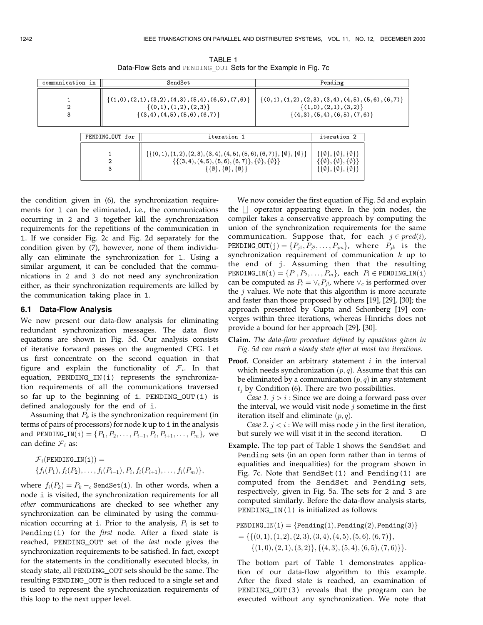TABLE 1 Data-Flow Sets and PENDING OUT Sets for the Example in Fig. 7c

| communication in |                 | SendSet                                                                                                                                                                                                                 | Pending                                                                                                                 |                                                                                                                                                          |  |  |
|------------------|-----------------|-------------------------------------------------------------------------------------------------------------------------------------------------------------------------------------------------------------------------|-------------------------------------------------------------------------------------------------------------------------|----------------------------------------------------------------------------------------------------------------------------------------------------------|--|--|
| 3                |                 | $\{(1,0),(2,1),(3,2),(4,3),(5,4),(6,5),(7,6)\}$<br>$\{(0,1), (1,2), (2,3)\}\$<br>$\{(3,4), (4,5), (5,6), (6,7)\}\$                                                                                                      | $\{(0,1), (1,2), (2,3), (3,4), (4,5), (5,6), (6,7)\}\$<br>$\{(1,0),(2,1),(3,2)\}\$<br>$\{(4,3), (5,4), (6,5), (7,6)\}\$ |                                                                                                                                                          |  |  |
|                  | PENDING_OUT for | iteration 1                                                                                                                                                                                                             |                                                                                                                         | iteration 2                                                                                                                                              |  |  |
|                  | 3               | $\{\{(0, 1), (1, 2), (2, 3), (3, 4), (4, 5), (5, 6), (6, 7)\}, \{\emptyset\}, \{\emptyset\}\}\$<br>$\{\{(3,4),(4,5),(5,6),(6,7)\},\{\emptyset\},\{\emptyset\}\}\$<br>$\{\{\emptyset\}, \{\emptyset\}, \{\emptyset\}\}\$ |                                                                                                                         | $\{\{\emptyset\},\{\emptyset\},\{\emptyset\}\}\$<br>$\{\{\emptyset\},\{\emptyset\},\{\emptyset\}\}\$<br>$\{\{\emptyset\},\{\emptyset\},\{\emptyset\}\}\$ |  |  |

the condition given in (6), the synchronization requirements for 1 can be eliminated, i.e., the communications occurring in 2 and 3 together kill the synchronization requirements for the repetitions of the communication in 1. If we consider Fig. 2c and Fig. 2d separately for the condition given by (7), however, none of them individually can eliminate the synchronization for 1. Using a similar argument, it can be concluded that the communications in 2 and 3 do not need any synchronization either, as their synchronization requirements are killed by the communication taking place in 1.

#### 6.1 Data-Flow Analysis

We now present our data-flow analysis for eliminating redundant synchronization messages. The data flow equations are shown in Fig. 5d. Our analysis consists of iterative forward passes on the augmented CFG. Let us first concentrate on the second equation in that figure and explain the functionality of  $\mathcal{F}_i$ . In that equation, PENDING\_IN(i) represents the synchronization requirements of all the communications traversed so far up to the beginning of i. PENDING\_OUT(i) is defined analogously for the end of i.

Assuming that  $P_k$  is the synchronization requirement (in terms of pairs of processors) for node  $k$  up to  $i$  in the analysis and PENDING IN(i) =  $\{P_1, P_2, \ldots, P_{i-1}, P_i, P_{i+1}, \ldots, P_m\}$ , we can define  $\mathcal{F}_i$  as:

$$
\mathcal{F}_i(\texttt{PENDING\_IN}(i)) = \{f_i(P_1), f_i(P_2), \ldots, f_i(P_{i-1}), P_i, f_i(P_{i+1}), \ldots, f_i(P_m)\},\
$$

where  $f_i(P_k) = P_k - c$  SendSet(i). In other words, when a node i is visited, the synchronization requirements for all other communications are checked to see whether any synchronization can be eliminated by using the communication occurring at i. Prior to the analysis,  $P_i$  is set to Pending(i) for the first node. After a fixed state is reached, PENDING\_OUT set of the last node gives the synchronization requirements to be satisfied. In fact, except for the statements in the conditionally executed blocks, in steady state, all PENDING\_OUT sets should be the same. The resulting PENDING\_OUT is then reduced to a single set and is used to represent the synchronization requirements of this loop to the next upper level.

We now consider the first equation of Fig. 5d and explain the  $\vert \vert$  operator appearing there. In the join nodes, the compiler takes a conservative approach by computing the union of the synchronization requirements for the same communication. Suppose that, for each  $j \in pred(i)$ , PENDING OUT $(j) = \{P_{j1}, P_{j2}, \ldots, P_{jm}\},$  where  $P_{jk}$  is the synchronization requirement of communication  $k$  up to the end of j. Assuming then that the resulting PENDING IN $(i) = \{P_1, P_2, \ldots, P_m\}$ , each  $P_l \in \text{PENDING\_IN}(i)$ can be computed as  $P_l = \vee_c P_{il}$ , where  $\vee_c$  is performed over the  $j$  values. We note that this algorithm is more accurate and faster than those proposed by others [19], [29], [30]; the approach presented by Gupta and Schonberg [19] converges within three iterations, whereas Hinrichs does not provide a bound for her approach [29], [30].

Claim. The data-flow procedure defined by equations given in Fig. 5d can reach a steady state after at most two iterations.

**Proof.** Consider an arbitrary statement  $i$  in the interval which needs synchronization  $(p, q)$ . Assume that this can be eliminated by a communication  $(p, q)$  in any statement  $t_i$  by Condition (6). There are two possibilities.

Case 1.  $j > i$ : Since we are doing a forward pass over the interval, we would visit node  $j$  sometime in the first iteration itself and eliminate  $(p, q)$ .

Case 2.  $j < i$  : We will miss node j in the first iteration, but surely we will visit it in the second iteration.  $\Box$ 

Example. The top part of Table 1 shows the SendSet and Pending sets (in an open form rather than in terms of equalities and inequalities) for the program shown in Fig. 7c. Note that SendSet(1) and Pending(1) are computed from the SendSet and Pending sets, respectively, given in Fig. 5a. The sets for 2 and 3 are computed similarly. Before the data-flow analysis starts, PENDING\_IN(1) is initialized as follows:

 $\text{PENDING\_IN}(1) = \{\text{Pending}(1), \text{Pending}(2), \text{Pending}(3)\}\$  $= \{ \{(0,1), (1,2), (2,3), (3,4), (4,5), (5,6), (6,7) \},\$  $\{(1,0),(2,1),(3,2)\},\{(4,3),(5,4),(6,5),(7,6)\}\}.$ 

The bottom part of Table 1 demonstrates application of our data-flow algorithm to this example. After the fixed state is reached, an examination of PENDING\_OUT(3) reveals that the program can be executed without any synchronization. We note that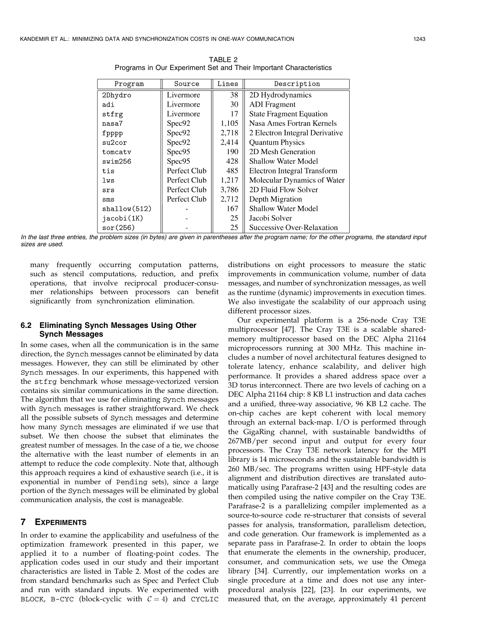| Program           | Source       | Lines | Description                    |
|-------------------|--------------|-------|--------------------------------|
| 2Dhydro           | Livermore    | 38    | 2D Hydrodynamics               |
| adi               | Livermore    | 30    | <b>ADI</b> Fragment            |
| stfrg             | Livermore    | 17    | <b>State Fragment Equation</b> |
| nasa7             | Spec92       | 1,105 | Nasa Ames Fortran Kernels      |
| fpppp             | Spec92       | 2,718 | 2 Electron Integral Derivative |
| su2cor            | Spec92       | 2,414 | <b>Quantum Physics</b>         |
| tomcatv           | Spec95       | 190   | 2D Mesh Generation             |
| swim256           | Spec95       | 428   | <b>Shallow Water Model</b>     |
| tis               | Perfect Club | 485   | Electron Integral Transform    |
| lws               | Perfect Club | 1,217 | Molecular Dynamics of Water    |
| srs               | Perfect Club | 3,786 | 2D Fluid Flow Solver           |
| $_{\texttt{SMS}}$ | Perfect Club | 2,712 | Depth Migration                |
| shallow(512)      |              | 167   | <b>Shallow Water Model</b>     |
| jacobi(1K)        |              | 25    | Jacobi Solver                  |
| sor(256)          |              | 25    | Successive Over-Relaxation     |

TABLE 2 Programs in Our Experiment Set and Their Important Characteristics

In the last three entries, the problem sizes (in bytes) are given in parentheses after the program name; for the other programs, the standard input sizes are used.

many frequently occurring computation patterns, such as stencil computations, reduction, and prefix operations, that involve reciprocal producer-consumer relationships between processors can benefit significantly from synchronization elimination.

## 6.2 Eliminating Synch Messages Using Other Synch Messages

In some cases, when all the communication is in the same direction, the Synch messages cannot be eliminated by data messages. However, they can still be eliminated by other Synch messages. In our experiments, this happened with the stfrg benchmark whose message-vectorized version contains six similar communications in the same direction. The algorithm that we use for eliminating Synch messages with Synch messages is rather straightforward. We check all the possible subsets of Synch messages and determine how many Synch messages are eliminated if we use that subset. We then choose the subset that eliminates the greatest number of messages. In the case of a tie, we choose the alternative with the least number of elements in an attempt to reduce the code complexity. Note that, although this approach requires a kind of exhaustive search (i.e., it is exponential in number of Pending sets), since a large portion of the Synch messages will be eliminated by global communication analysis, the cost is manageable.

### 7 EXPERIMENTS

In order to examine the applicability and usefulness of the optimization framework presented in this paper, we applied it to a number of floating-point codes. The application codes used in our study and their important characteristics are listed in Table 2. Most of the codes are from standard benchmarks such as Spec and Perfect Club and run with standard inputs. We experimented with BLOCK, B-CYC (block-cyclic with  $C = 4$ ) and CYCLIC

distributions on eight processors to measure the static improvements in communication volume, number of data messages, and number of synchronization messages, as well as the runtime (dynamic) improvements in execution times. We also investigate the scalability of our approach using different processor sizes.

Our experimental platform is a 256-node Cray T3E multiprocessor [47]. The Cray T3E is a scalable sharedmemory multiprocessor based on the DEC Alpha 21164 microprocessors running at 300 MHz. This machine includes a number of novel architectural features designed to tolerate latency, enhance scalability, and deliver high performance. It provides a shared address space over a 3D torus interconnect. There are two levels of caching on a DEC Alpha 21164 chip: 8 KB L1 instruction and data caches and a unified, three-way associative, 96 KB L2 cache. The on-chip caches are kept coherent with local memory through an external back-map. I/O is performed through the GigaRing channel, with sustainable bandwidths of 267MB/per second input and output for every four processors. The Cray T3E network latency for the MPI library is 14 microseconds and the sustainable bandwidth is 260 MB/sec. The programs written using HPF-style data alignment and distribution directives are translated automatically using Parafrase-2 [43] and the resulting codes are then compiled using the native compiler on the Cray T3E. Parafrase-2 is a parallelizing compiler implemented as a source-to-source code re-structurer that consists of several passes for analysis, transformation, parallelism detection, and code generation. Our framework is implemented as a separate pass in Parafrase-2. In order to obtain the loops that enumerate the elements in the ownership, producer, consumer, and communication sets, we use the Omega library [34]. Currently, our implementation works on a single procedure at a time and does not use any interprocedural analysis [22], [23]. In our experiments, we measured that, on the average, approximately 41 percent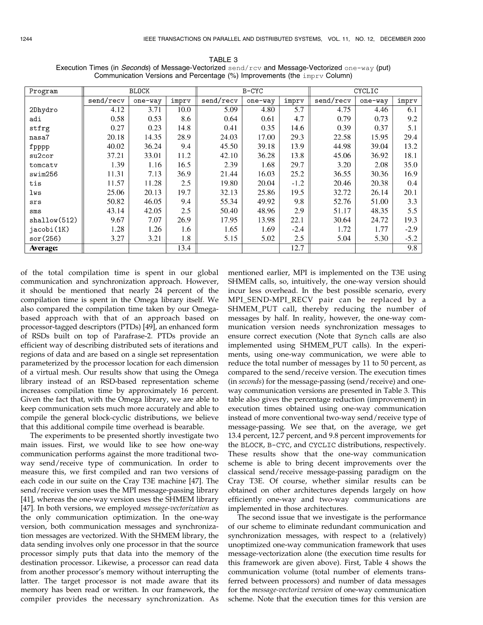| Communication Versions and Percentage (%) Improvements (the imprv Column) |           |         |       |           |         |       |           |         |       |  |  |  |
|---------------------------------------------------------------------------|-----------|---------|-------|-----------|---------|-------|-----------|---------|-------|--|--|--|
| Program                                                                   |           | BLOCK   |       |           | $B-CYC$ |       | CYCLIC    |         |       |  |  |  |
|                                                                           | send/recv | one-way | imprv | send/recv | one-way | imprv | send/recv | one-way | imprv |  |  |  |
| 2Dhydro                                                                   | 4.12      | 3.71    | 10.0  | 5.09      | 4.80    | 5.7   | 4.75      | 4.46    | 6.1   |  |  |  |
| adi                                                                       | 0.58      | 0.53    | 8.6   | 0.64      | 0.61    | 4.7   | 0.79      | 0.73    | 9.2   |  |  |  |
| stfrg                                                                     | 0.27      | 0.23    | 14.8  | 0.41      | 0.35    | 14.6  | 0.39      | 0.37    | 5.1   |  |  |  |
| nasa7                                                                     | 20.18     | 14.35   | 28.9  | 24.03     | 17.00   | 29.3  | 22.58     | 15.95   | 29.4  |  |  |  |
| fpppp                                                                     | 40.02     | 36.24   | 9.4   | 45.50     | 39.18   | 13.9  | 44.98     | 39.04   | 13.2  |  |  |  |
| su2cor                                                                    | 37.21     | 33.01   | 11.2  | 42.10     | 36.28   | 13.8  | 45.06     | 36.92   | 18.1  |  |  |  |

2.39

21.44

19.80

32.13

55.34

50.40

17.95

1.65

5.15

1.68

16.03

20.04

25.86

49.92

48.96

13.98

1.69

5.02

29.7

25.2

 $-1.2$ 

19.5

9.8

2.9

22.1

 $-2.4$ 

 $2.5$ 

12.7

3.20

36.55

20.46

32.72

52.76

51.17

30.64

1.72

5.04

2.08

30.36

20.38

26.14

51.00

48.35

24.72

1.77

5.30

TABLE 3 Execution Times (in Seconds) of Message-Vectorized send/rcv and Message-Vectorized one-way (put)

of the total compilation time is spent in our global communication and synchronization approach. However, it should be mentioned that nearly 24 percent of the compilation time is spent in the Omega library itself. We also compared the compilation time taken by our Omegabased approach with that of an approach based on processor-tagged descriptors (PTDs) [49], an enhanced form of RSDs built on top of Parafrase-2. PTDs provide an efficient way of describing distributed sets of iterations and regions of data and are based on a single set representation parameterized by the processor location for each dimension of a virtual mesh. Our results show that using the Omega library instead of an RSD-based representation scheme increases compilation time by approximately 16 percent. Given the fact that, with the Omega library, we are able to keep communication sets much more accurately and able to compile the general block-cyclic distributions, we believe that this additional compile time overhead is bearable.

1.39

11.31

11.57

25.06

50.82

43.14

9.67

1.28

3.27

1.16

7.13

11.28

20.13

46.05

42.05

7.07

1.26

3.21

16.5

36.9

2.5

19.7

9.4

2.5

26.9

1.6

1.8

13.4

The experiments to be presented shortly investigate two main issues. First, we would like to see how one-way communication performs against the more traditional twoway send/receive type of communication. In order to measure this, we first compiled and ran two versions of each code in our suite on the Cray T3E machine [47]. The send/receive version uses the MPI message-passing library [41], whereas the one-way version uses the SHMEM library [47]. In both versions, we employed message-vectorization as the only communication optimization. In the one-way version, both communication messages and synchronization messages are vectorized. With the SHMEM library, the data sending involves only one processor in that the source processor simply puts that data into the memory of the destination processor. Likewise, a processor can read data from another processor's memory without interrupting the latter. The target processor is not made aware that its memory has been read or written. In our framework, the compiler provides the necessary synchronization. As

mentioned earlier, MPI is implemented on the T3E using SHMEM calls, so, intuitively, the one-way version should incur less overhead. In the best possible scenario, every MPI\_SEND-MPI\_RECV pair can be replaced by a SHMEM\_PUT call, thereby reducing the number of messages by half. In reality, however, the one-way communication version needs synchronization messages to ensure correct execution (Note that Synch calls are also implemented using SHMEM\_PUT calls). In the experiments, using one-way communication, we were able to reduce the total number of messages by 11 to 50 percent, as compared to the send/receive version. The execution times (in seconds) for the message-passing (send/receive) and oneway communication versions are presented in Table 3. This table also gives the percentage reduction (improvement) in execution times obtained using one-way communication instead of more conventional two-way send/receive type of message-passing. We see that, on the average, we get 13.4 percent, 12.7 percent, and 9.8 percent improvements for the BLOCK, B-CYC, and CYCLIC distributions, respectively. These results show that the one-way communication scheme is able to bring decent improvements over the classical send/receive message-passing paradigm on the Cray T3E. Of course, whether similar results can be obtained on other architectures depends largely on how efficiently one-way and two-way communications are implemented in those architectures.

35.0

16.9

0.4

20.1

 $3.3$ 

5.5

19.3

 $-2.9$ 

 $-5.2$ 

9.8

The second issue that we investigate is the performance of our scheme to eliminate redundant communication and synchronization messages, with respect to a (relatively) unoptimized one-way communication framework that uses message-vectorization alone (the execution time results for this framework are given above). First, Table 4 shows the communication volume (total number of elements transferred between processors) and number of data messages for the message-vectorized version of one-way communication scheme. Note that the execution times for this version are

tomcaty

swim256

 $shallow(512)$ 

jacobi(1K)

 $sor(256)$ 

Average:

tis

lws

srs

 $<sub>sms</sub>$ </sub>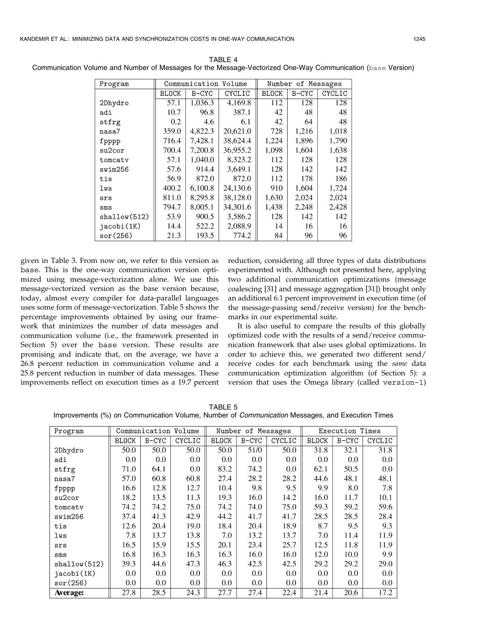| Program           |              | Communication Volume |          |              | Number of Messages |        |
|-------------------|--------------|----------------------|----------|--------------|--------------------|--------|
|                   | <b>BLOCK</b> | $B-CYC$              | CYCLIC   | <b>BLOCK</b> | $B-CYC$            | CYCLIC |
| 2Dhydro           | 57.1         | 1.036.3              | 4,169.8  | 112          | 128                | 128    |
| adi               | 10.7         | 96.8                 | 387.1    | 42           | 48                 | 48     |
| stfrg             | 0.2          | 4.6                  | 6.1      | 42           | 64                 | 48     |
| nasa7             | 359.0        | 4,822.3              | 20,621.0 | 728          | 1.216              | 1,018  |
| fpppp             | 716.4        | 7,428.1              | 38,624.4 | 1,224        | 1,896              | 1,790  |
| su2cor            | 700.4        | 7,200.8              | 36,955.2 | 1,098        | 1,604              | 1,638  |
| tomcatv           | 57.1         | 1,040.0              | 8,323.2  | 112          | 128                | 128    |
| swim256           | 57.6         | 914.4                | 3,649.1  | 128          | 142                | 142    |
| tis               | 56.9         | 872.0                | 872.0    | 112          | 178                | 186    |
| lws               | 400.2        | 6.100.8              | 24,130.6 | 910          | 1.604              | 1,724  |
| srs               | 811.0        | 8,295.8              | 38,128.0 | 1,630        | 2,024              | 2,024  |
| $_{\texttt{SMS}}$ | 794.7        | 8,005.1              | 34,301.6 | 1,438        | 2,248              | 2,428  |
| shallow(512)      | 53.9         | 900.5                | 3.586.2  | 128          | 142                | 142    |
| jacobi(1K)        | 14.4         | 522.2                | 2,088.9  | 14           | 16                 | 16     |
| sor(256)          | 21.3         | 193.5                | 774.2    | 84           | 96                 | 96     |

TABLE 4 Communication Volume and Number of Messages for the Message-Vectorized One-Way Communication (base Version)

given in Table 3. From now on, we refer to this version as base. This is the one-way communication version optimized using message-vectorization alone. We use this message-vectorized version as the base version because, today, almost every compiler for data-parallel languages uses some form of message-vectorization. Table 5 shows the percentage improvements obtained by using our framework that minimizes the number of data messages and communication volume (i.e., the framework presented in Section 5) over the base version. These results are promising and indicate that, on the average, we have a 26.8 percent reduction in communication volume and a 25.8 percent reduction in number of data messages. These improvements reflect on execution times as a 19.7 percent

reduction, considering all three types of data distributions experimented with. Although not presented here, applying two additional communication optimizations (message coalescing [31] and message aggregation [31]) brought only an additional 6.1 percent improvement in execution time (of the message-passing send/receive version) for the benchmarks in our experimental suite.

It is also useful to compare the results of this globally optimized code with the results of a send/receive communication framework that also uses global optimizations. In order to achieve this, we generated two different send/ receive codes for each benchmark using the same data communication optimization algorithm (of Section 5): a version that uses the Omega library (called version-1)

TABLE 5 Improvements (%) on Communication Volume, Number of Communication Messages, and Execution Times

| Program         |              | Communication Volume |               |              | Number of Messages |        |              | <b>Execution Times</b> |               |
|-----------------|--------------|----------------------|---------------|--------------|--------------------|--------|--------------|------------------------|---------------|
|                 | <b>BLOCK</b> | $B-CYC$              | <b>CYCLIC</b> | <b>BLOCK</b> | $B-CYC$            | CYCLIC | <b>BLOCK</b> | $B-CYC$                | <b>CYCLIC</b> |
| 2Dhydro         | 50.0         | 50.0                 | 50.0          | 50.0         | 51/0               | 50.0   | 31.8         | 32.1                   | 31.8          |
| adi             | 0.0          | 0.0                  | 0.0           | 0.0          | 0.0                | 0.0    | 0.0          | 0.0                    | 0.0           |
| stfrg           | 71.0         | 64.1                 | 0.0           | 83.2         | 74.2               | 0.0    | 62.1         | 50.5                   | 0.0           |
| nasa7           | 57.0         | 60.8                 | 60.8          | 27.4         | 28.2               | 28.2   | 44.6         | 48.1                   | 48.1          |
| fpppp           | 16.6         | 12.8                 | 12.7          | 10.4         | 9.8                | 9.5    | 9.9          | 8.0                    | 7.8           |
| su2cor          | 18.2         | 13.5                 | 11.3          | 19.3         | 16.0               | 14.2   | 16.0         | 11.7                   | 10.1          |
| tomcatv         | 74.2         | 74.2                 | 75.0          | 74.2         | 74.0               | 75.0   | 59.3         | 59.2                   | 59.6          |
| swim256         | 37.4         | 41.3                 | 42.9          | 44.2         | 41.7               | 41.7   | 28.5         | 28.5                   | 28.4          |
| tis             | 12.6         | 20.4                 | 19.0          | 18.4         | 20.4               | 18.9   | 8.7          | 9.5                    | 9.3           |
| lws             | 7.8          | 13.7                 | 13.8          | 7.0          | 13.2               | 13.7   | 7.0          | 11.4                   | 11.9          |
| srs             | 16.5         | 15.9                 | 15.5          | 20.1         | 23.4               | 25.7   | 12.5         | 11.8                   | 11.9          |
| $_{\rm rms}$    | 16.8         | 16.3                 | 16.3          | 16.3         | 16.0               | 16.0   | 12.0         | 10.0                   | 9.9           |
| shallow(512)    | 39.3         | 44.6                 | 47.3          | 46.3         | 42.5               | 42.5   | 29.2         | 29.2                   | 29.0          |
| jacobi(1K)      | 0.0          | 0.0                  | 0.0           | 0.0          | 0.0                | 0.0    | 0.0          | 0.0                    | 0.0           |
| sor(256)        | 0.0          | 0.0                  | 0.0           | 0.0          | 0.0                | 0.0    | $0.0\,$      | 0.0                    | 0.0           |
| <b>Average:</b> | 27.8         | 28.5                 | 24.3          | 27.7         | 27.4               | 22.4   | 21.4         | 20.6                   | 17.2          |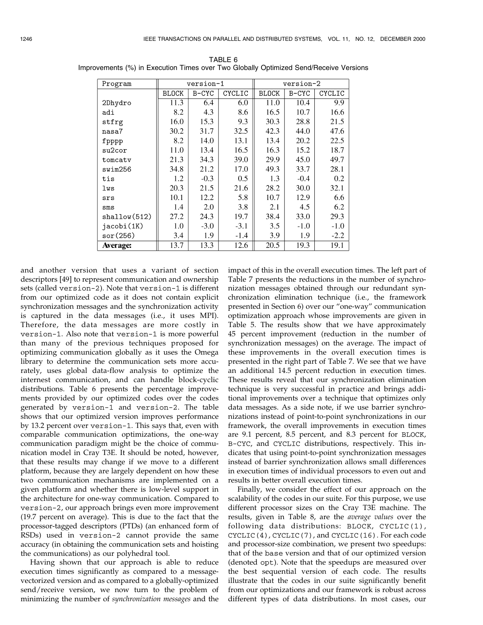| Program         |              | version-1 |        | version-2    |         |        |  |
|-----------------|--------------|-----------|--------|--------------|---------|--------|--|
|                 | <b>BLOCK</b> | $B-CYC$   | CYCLIC | <b>BLOCK</b> | $B-CYC$ | CYCLIC |  |
| 2Dhydro         | 11.3         | 6.4       | 6.0    | 11.0         | 10.4    | 9.9    |  |
| adi             | 8.2          | 4.3       | 8.6    | 16.5         | 10.7    | 16.6   |  |
| stfrg           | 16.0         | 15.3      | 9.3    | 30.3         | 28.8    | 21.5   |  |
| nasa7           | 30.2         | 31.7      | 32.5   | 42.3         | 44.0    | 47.6   |  |
| fpppp           | 8.2          | 14.0      | 13.1   | 13.4         | 20.2    | 22.5   |  |
| su2cor          | 11.0         | 13.4      | 16.5   | 16.3         | 15.2    | 18.7   |  |
| tomcatv         | 21.3         | 34.3      | 39.0   | 29.9         | 45.0    | 49.7   |  |
| swim256         | 34.8         | 21.2      | 17.0   | 49.3         | 33.7    | 28.1   |  |
| tis             | 1.2          | $-0.3$    | 0.5    | 1.3          | $-0.4$  | 0.2    |  |
| lws             | 20.3         | 21.5      | 21.6   | 28.2         | 30.0    | 32.1   |  |
| srs             | 10.1         | 12.2      | 5.8    | 10.7         | 12.9    | 6.6    |  |
| $_{\rm{Sms}}$   | 1.4          | 2.0       | 3.8    | 2.1          | 4.5     | 6.2    |  |
| shallow(512)    | 27.2         | 24.3      | 19.7   | 38.4         | 33.0    | 29.3   |  |
| jacobi(1K)      | 1.0          | $-3.0$    | $-3.1$ | 3.5          | $-1.0$  | $-1.0$ |  |
| sor(256)        | 3.4          | 1.9       | $-1.4$ | 3.9          | 1.9     | $-2.2$ |  |
| <b>Average:</b> | 13.7         | 13.3      | 12.6   | 20.5         | 19.3    | 19.1   |  |

TABLE 6 Improvements (%) in Execution Times over Two Globally Optimized Send/Receive Versions

and another version that uses a variant of section descriptors [49] to represent communication and ownership sets (called version-2). Note that version-1 is different from our optimized code as it does not contain explicit synchronization messages and the synchronization activity is captured in the data messages (i.e., it uses MPI). Therefore, the data messages are more costly in version-1. Also note that version-1 is more powerful than many of the previous techniques proposed for optimizing communication globally as it uses the Omega library to determine the communication sets more accurately, uses global data-flow analysis to optimize the internest communication, and can handle block-cyclic distributions. Table 6 presents the percentage improvements provided by our optimized codes over the codes generated by version-1 and version-2. The table shows that our optimized version improves performance by 13.2 percent over version-1. This says that, even with comparable communication optimizations, the one-way communication paradigm might be the choice of communication model in Cray T3E. It should be noted, however, that these results may change if we move to a different platform, because they are largely dependent on how these two communication mechanisms are implemented on a given platform and whether there is low-level support in the architecture for one-way communication. Compared to version-2, our approach brings even more improvement (19.7 percent on average). This is due to the fact that the processor-tagged descriptors (PTDs) (an enhanced form of RSDs) used in version-2 cannot provide the same accuracy (in obtaining the communication sets and hoisting the communications) as our polyhedral tool.

Having shown that our approach is able to reduce execution times significantly as compared to a messagevectorized version and as compared to a globally-optimized send/receive version, we now turn to the problem of minimizing the number of synchronization messages and the

impact of this in the overall execution times. The left part of Table 7 presents the reductions in the number of synchronization messages obtained through our redundant synchronization elimination technique (i.e., the framework presented in Section 6) over our "one-way" communication optimization approach whose improvements are given in Table 5. The results show that we have approximately 45 percent improvement (reduction in the number of synchronization messages) on the average. The impact of these improvements in the overall execution times is presented in the right part of Table 7. We see that we have an additional 14.5 percent reduction in execution times. These results reveal that our synchronization elimination technique is very successful in practice and brings additional improvements over a technique that optimizes only data messages. As a side note, if we use barrier synchronizations instead of point-to-point synchronizations in our framework, the overall improvements in execution times are 9.1 percent, 8.5 percent, and 8.3 percent for BLOCK, B-CYC, and CYCLIC distributions, respectively. This indicates that using point-to-point synchronization messages instead of barrier synchronization allows small differences in execution times of individual processors to even out and results in better overall execution times.

Finally, we consider the effect of our approach on the scalability of the codes in our suite. For this purpose, we use different processor sizes on the Cray T3E machine. The results, given in Table 8, are the average values over the following data distributions: BLOCK, CYCLIC(1), CYCLIC(4), CYCLIC(7), and CYCLIC(16). For each code and processor-size combination, we present two speedups: that of the base version and that of our optimized version (denoted opt). Note that the speedups are measured over the best sequential version of each code. The results illustrate that the codes in our suite significantly benefit from our optimizations and our framework is robust across different types of data distributions. In most cases, our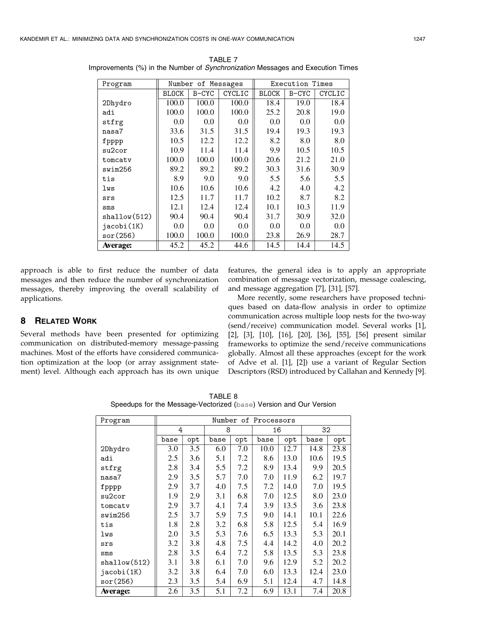| Program      |              | Number of Messages |        | <b>Execution Times</b> |         |        |  |
|--------------|--------------|--------------------|--------|------------------------|---------|--------|--|
|              | <b>BLOCK</b> | B-CYC              | CYCLIC | <b>BLOCK</b>           | $B-CYC$ | CYCLIC |  |
| 2Dhydro      | 100.0        | 100.0              | 100.0  | 18.4                   | 19.0    | 18.4   |  |
| adi          | 100.0        | 100.0              | 100.0  | 25.2                   | 20.8    | 19.0   |  |
| stfrg        | 0.0          | 0.0                | 0.0    | 0.0                    | 0.0     | 0.0    |  |
| nasa7        | 33.6         | 31.5               | 31.5   | 19.4                   | 19.3    | 19.3   |  |
| fpppp        | 10.5         | 12.2               | 12.2   | 8.2                    | 8.0     | 8.0    |  |
| su2cor       | 10.9         | 11.4               | 11.4   | 9.9                    | 10.5    | 10.5   |  |
| tomcatv      | 100.0        | 100.0              | 100.0  | 20.6                   | 21.2    | 21.0   |  |
| swim256      | 89.2         | 89.2               | 89.2   | 30.3                   | 31.6    | 30.9   |  |
| tis          | 8.9          | 9.0                | 9.0    | 5.5                    | 5.6     | 5.5    |  |
| lws          | 10.6         | 10.6               | 10.6   | 4.2                    | 4.0     | 4.2    |  |
| srs          | 12.5         | 11.7               | 11.7   | 10.2                   | 8.7     | 8.2    |  |
| $_{\rm rms}$ | 12.1         | 12.4               | 12.4   | 10.1                   | 10.3    | 11.9   |  |
| shallow(512) | 90.4         | 90.4               | 90.4   | 31.7                   | 30.9    | 32.0   |  |
| jacobi(1K)   | 0.0          | 0.0                | 0.0    | 0.0                    | 0.0     | 0.0    |  |
| sor(256)     | 100.0        | 100.0              | 100.0  | 23.8                   | 26.9    | 28.7   |  |
| Average:     | 45.2         | 45.2               | 44.6   | 14.5                   | 14.4    | 14.5   |  |

TABLE 7 Improvements (%) in the Number of Synchronization Messages and Execution Times

approach is able to first reduce the number of data messages and then reduce the number of synchronization messages, thereby improving the overall scalability of applications.

features, the general idea is to apply an appropriate combination of message vectorization, message coalescing, and message aggregation [7], [31], [57].

## 8 RELATED WORK

Several methods have been presented for optimizing communication on distributed-memory message-passing machines. Most of the efforts have considered communication optimization at the loop (or array assignment statement) level. Although each approach has its own unique

More recently, some researchers have proposed techniques based on data-flow analysis in order to optimize communication across multiple loop nests for the two-way (send/receive) communication model. Several works [1], [2], [3], [10], [16], [20], [36], [55], [56] present similar frameworks to optimize the send/receive communications globally. Almost all these approaches (except for the work of Adve et al. [1], [2]) use a variant of Regular Section Descriptors (RSD) introduced by Callahan and Kennedy [9].

TABLE 8 Speedups for the Message-Vectorized (base) Version and Our Version

| Program       | Number of Processors |     |      |     |      |      |      |      |  |  |  |
|---------------|----------------------|-----|------|-----|------|------|------|------|--|--|--|
|               | 4                    |     | 8    |     | 16   |      | 32   |      |  |  |  |
|               | base                 | opt | base | opt | base | opt  | base | opt  |  |  |  |
| 2Dhydro       | 3.0                  | 3.5 | 6.0  | 7.0 | 10.0 | 12.7 | 14.8 | 23.8 |  |  |  |
| adi           | 2.5                  | 3.6 | 5.1  | 7.2 | 8.6  | 13.0 | 10.6 | 19.5 |  |  |  |
| stfrg         | 2.8                  | 3.4 | 5.5  | 7.2 | 8.9  | 13.4 | 9.9  | 20.5 |  |  |  |
| nasa7         | 2.9                  | 3.5 | 5.7  | 7.0 | 7.0  | 11.9 | 6.2  | 19.7 |  |  |  |
| fpppp         | 2.9                  | 3.7 | 4.0  | 7.5 | 7.2  | 14.0 | 7.0  | 19.5 |  |  |  |
| su2cor        | 1.9                  | 2.9 | 3.1  | 6.8 | 7.0  | 12.5 | 8.0  | 23.0 |  |  |  |
| tomcatv       | 2.9                  | 3.7 | 4.1  | 7.4 | 3.9  | 13.5 | 3.6  | 23.8 |  |  |  |
| swim256       | 2.5                  | 3.7 | 5.9  | 7.5 | 9.0  | 14.1 | 10.1 | 22.6 |  |  |  |
| tis           | 1.8                  | 2.8 | 3.2  | 6.8 | 5.8  | 12.5 | 5.4  | 16.9 |  |  |  |
| lws           | 2.0                  | 3.5 | 5.3  | 7.6 | 6.5  | 13.3 | 5.3  | 20.1 |  |  |  |
| srs           | 3.2                  | 3.8 | 4.8  | 7.5 | 4.4  | 14.2 | 4.0  | 20.2 |  |  |  |
| $_{\rm{Sms}}$ | 2.8                  | 3.5 | 6.4  | 7.2 | 5.8  | 13.5 | 5.3  | 23.8 |  |  |  |
| shallow(512)  | 3.1                  | 3.8 | 6.1  | 7.0 | 9.6  | 12.9 | 5.2  | 20.2 |  |  |  |
| jacobi(1K)    | 3.2                  | 3.8 | 6.4  | 7.0 | 6.0  | 13.3 | 12.4 | 23.0 |  |  |  |
| sor(256)      | 2.3                  | 3.5 | 5.4  | 6.9 | 5.1  | 12.4 | 4.7  | 14.8 |  |  |  |
| Average:      | 2.6                  | 3.5 | 5.1  | 7.2 | 6.9  | 13.1 | 7.4  | 20.8 |  |  |  |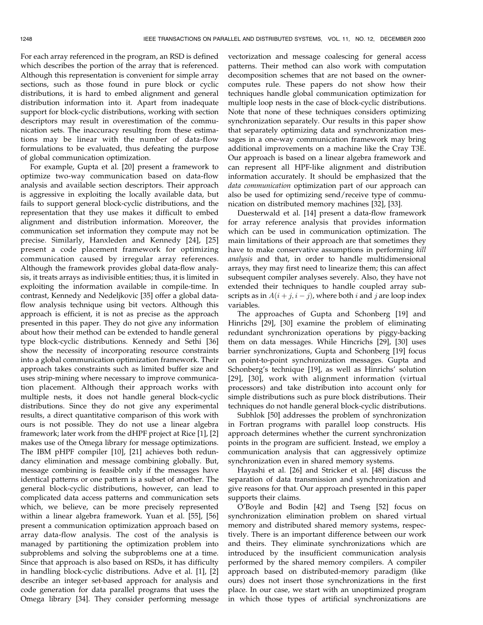For each array referenced in the program, an RSD is defined which describes the portion of the array that is referenced. Although this representation is convenient for simple array sections, such as those found in pure block or cyclic distributions, it is hard to embed alignment and general distribution information into it. Apart from inadequate support for block-cyclic distributions, working with section descriptors may result in overestimation of the communication sets. The inaccuracy resulting from these estimations may be linear with the number of data-flow formulations to be evaluated, thus defeating the purpose of global communication optimization.

For example, Gupta et al. [20] present a framework to optimize two-way communication based on data-flow analysis and available section descriptors. Their approach is aggressive in exploiting the locally available data, but fails to support general block-cyclic distributions, and the representation that they use makes it difficult to embed alignment and distribution information. Moreover, the communication set information they compute may not be precise. Similarly, Hanxleden and Kennedy [24], [25] present a code placement framework for optimizing communication caused by irregular array references. Although the framework provides global data-flow analysis, it treats arrays as indivisible entities; thus, it is limited in exploiting the information available in compile-time. In contrast, Kennedy and Nedeljkovic [35] offer a global dataflow analysis technique using bit vectors. Although this approach is efficient, it is not as precise as the approach presented in this paper. They do not give any information about how their method can be extended to handle general type block-cyclic distributions. Kennedy and Sethi [36] show the necessity of incorporating resource constraints into a global communication optimization framework. Their approach takes constraints such as limited buffer size and uses strip-mining where necessary to improve communication placement. Although their approach works with multiple nests, it does not handle general block-cyclic distributions. Since they do not give any experimental results, a direct quantitative comparison of this work with ours is not possible. They do not use a linear algebra framework; later work from the dHPF project at Rice [1], [2] makes use of the Omega library for message optimizations. The IBM pHPF compiler [10], [21] achieves both redundancy elimination and message combining globally. But, message combining is feasible only if the messages have identical patterns or one pattern is a subset of another. The general block-cyclic distributions, however, can lead to complicated data access patterns and communication sets which, we believe, can be more precisely represented within a linear algebra framework. Yuan et al. [55], [56] present a communication optimization approach based on array data-flow analysis. The cost of the analysis is managed by partitioning the optimization problem into subproblems and solving the subproblems one at a time. Since that approach is also based on RSDs, it has difficulty in handling block-cyclic distributions. Adve et al. [1], [2] describe an integer set-based approach for analysis and code generation for data parallel programs that uses the Omega library [34]. They consider performing message

vectorization and message coalescing for general access patterns. Their method can also work with computation decomposition schemes that are not based on the ownercomputes rule. These papers do not show how their techniques handle global communication optimization for multiple loop nests in the case of block-cyclic distributions. Note that none of these techniques considers optimizing synchronization separately. Our results in this paper show that separately optimizing data and synchronization messages in a one-way communication framework may bring additional improvements on a machine like the Cray T3E. Our approach is based on a linear algebra framework and can represent all HPF-like alignment and distribution information accurately. It should be emphasized that the data communication optimization part of our approach can also be used for optimizing send/receive type of communication on distributed memory machines [32], [33].

Duesterwald et al. [14] present a data-flow framework for array reference analysis that provides information which can be used in communication optimization. The main limitations of their approach are that sometimes they have to make conservative assumptions in performing kill analysis and that, in order to handle multidimensional arrays, they may first need to linearize them; this can affect subsequent compiler analyses severely. Also, they have not extended their techniques to handle coupled array subscripts as in  $A(i + j, i - j)$ , where both i and j are loop index variables.

The approaches of Gupta and Schonberg [19] and Hinrichs [29], [30] examine the problem of eliminating redundant synchronization operations by piggy-backing them on data messages. While Hincrichs [29], [30] uses barrier synchronizations, Gupta and Schonberg [19] focus on point-to-point synchronization messages. Gupta and Schonberg's technique [19], as well as Hinrichs' solution [29], [30], work with alignment information (virtual processors) and take distribution into account only for simple distributions such as pure block distributions. Their techniques do not handle general block-cyclic distributions.

Subhlok [50] addresses the problem of synchronization in Fortran programs with parallel loop constructs. His approach determines whether the current synchronization points in the program are sufficient. Instead, we employ a communication analysis that can aggressively optimize synchronization even in shared memory systems.

Hayashi et al. [26] and Stricker et al. [48] discuss the separation of data transmission and synchronization and give reasons for that. Our approach presented in this paper supports their claims.

O'Boyle and Bodin [42] and Tseng [52] focus on synchronization elimination problem on shared virtual memory and distributed shared memory systems, respectively. There is an important difference between our work and theirs. They eliminate synchronizations which are introduced by the insufficient communication analysis performed by the shared memory compilers. A compiler approach based on distributed-memory paradigm (like ours) does not insert those synchronizations in the first place. In our case, we start with an unoptimized program in which those types of artificial synchronizations are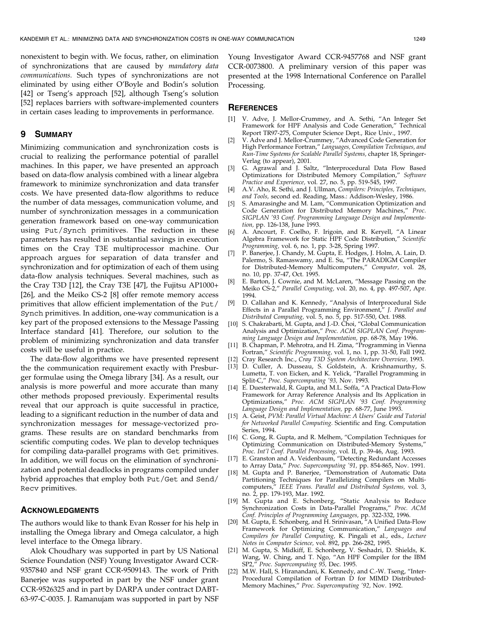nonexistent to begin with. We focus, rather, on elimination of synchronizations that are caused by mandatory data communications. Such types of synchronizations are not eliminated by using either O'Boyle and Bodin's solution [42] or Tseng's approach [52], although Tseng's solution [52] replaces barriers with software-implemented counters in certain cases leading to improvements in performance.

## 9 SUMMARY

Minimizing communication and synchronization costs is crucial to realizing the performance potential of parallel machines. In this paper, we have presented an approach based on data-flow analysis combined with a linear algebra framework to minimize synchronization and data transfer costs. We have presented data-flow algorithms to reduce the number of data messages, communication volume, and number of synchronization messages in a communication generation framework based on one-way communication using Put/Synch primitives. The reduction in these parameters has resulted in substantial savings in execution times on the Cray T3E multiprocessor machine. Our approach argues for separation of data transfer and synchronization and for optimization of each of them using data-flow analysis techniques. Several machines, such as the Cray T3D [12], the Cray T3E [47], the Fujitsu AP1000+ [26], and the Meiko CS-2 [8] offer remote memory access primitives that allow efficient implementation of the Put/ Synch primitives. In addition, one-way communication is a key part of the proposed extensions to the Message Passing Interface standard [41]. Therefore, our solution to the problem of minimizing synchronization and data transfer costs will be useful in practice.

The data-flow algorithms we have presented represent the the communication requirement exactly with Presburger formulae using the Omega library [34]. As a result, our analysis is more powerful and more accurate than many other methods proposed previously. Experimental results reveal that our approach is quite successful in practice, leading to a significant reduction in the number of data and synchronization messages for message-vectorized programs. These results are on standard benchmarks from scientific computing codes. We plan to develop techniques for compiling data-parallel programs with Get primitives. In addition, we will focus on the elimination of synchronization and potential deadlocks in programs compiled under hybrid approaches that employ both Put/Get and Send/ Recv primitives.

#### ACKNOWLEDGMENTS

The authors would like to thank Evan Rosser for his help in installing the Omega library and Omega calculator, a high level interface to the Omega library.

Alok Choudhary was supported in part by US National Science Foundation (NSF) Young Investigator Award CCR-9357840 and NSF grant CCR-9509143. The work of Prith Banerjee was supported in part by the NSF under grant CCR-9526325 and in part by DARPA under contract DABT-63-97-C-0035. J. Ramanujam was supported in part by NSF

Young Investigator Award CCR-9457768 and NSF grant CCR-0073800. A preliminary version of this paper was presented at the 1998 International Conference on Parallel Processing.

#### **REFERENCES**

- [1] V. Adve, J. Mellor-Crummey, and A. Sethi, "An Integer Set Framework for HPF Analysis and Code Generation," Technical Report TR97-275, Computer Science Dept., Rice Univ., 1997.
- V. Adve and J. Mellor-Crummey, "Advanced Code Generation for High Performance Fortran," Languages, Compilation Techniques, and Run-Time Systems for Scalable Parallel Systems, chapter 18, Springer-Verlag (to appear), 2001.
- [3] G. Agrawal and J. Saltz, "Interprocedural Data Flow Based Optimizations for Distributed Memory Compilation," Software Practice and Experience, vol. 27, no. 5, pp. 519-545, 1997.
- [4] A.V. Aho, R. Sethi, and J. Ullman, Compilers: Principles, Techniques, and Tools, second ed. Reading, Mass.: Addison-Wesley, 1986.
- [5] S. Amarasinghe and M. Lam, ªCommunication Optimization and Code Generation for Distributed Memory Machines," Proc. SIGPLAN '93 Conf. Programming Language Design and Implementation, pp. 126-138, June 1993.
- [6] A. Ancourt, F. Coelho, F. Irigoin, and R. Keryell, ªA Linear Algebra Framework for Static HPF Code Distribution," Scientific Programming, vol. 6, no. 1, pp. 3-28, Spring 1997.
- [7] P. Banerjee, J. Chandy, M. Gupta, E. Hodges, J. Holm, A. Lain, D. Palermo, S. Ramaswamy, and E. Su, "The PARADIGM Compiler for Distributed-Memory Multicomputers," Computer, vol. 28, no. 10, pp. 37-47, Oct. 1995.
- [8] E. Barton, J. Cownie, and M. McLaren, "Message Passing on the Meiko CS-2,º Parallel Computing, vol. 20, no. 4, pp. 497-507, Apr. 1994.
- [9] D. Callahan and K. Kennedy, "Analysis of Interprocedural Side Effects in a Parallel Programming Environment," J. Parallel and Distributed Computing, vol. 5, no. 5, pp. 517-550, Oct. 1988.
- [10] S. Chakrabarti, M. Gupta, and J.-D. Choi, "Global Communication Analysis and Optimization," Proc. ACM SIGPLAN Conf. Programming Language Design and Implementation, pp. 68-78, May 1996.
- [11] B. Chapman, P. Mehrotra, and H. Zima, ªProgramming in Vienna Fortran," Scientific Programming, vol. 1, no. 1, pp. 31-50, Fall 1992.
- [12] Cray Research Inc., Cray T3D System Architecture Overview, 1993. [13] D. Culler, A. Dusseau, S. Goldstein, A. Krishnamurthy, S.
- Lumetta, T. von Eicken, and K. Yelick, ªParallel Programming in Split-C," Proc. Supercomputing '93, Nov. 1993.
- [14] E. Duesterwald, R. Gupta, and M.L. Soffa, "A Practical Data-Flow Framework for Array Reference Analysis and Its Application in Optimizations,º Proc. ACM SIGPLAN '93 Conf. Programming Language Design and Implementation, pp. 68-77, June 1993.
- [15] A. Geist, PVM: Parallel Virtual Machine: A Users' Guide and Tutorial for Networked Parallel Computing. Scientific and Eng. Computation Series, 1994.
- [16] C. Gong, R. Gupta, and R. Melhem, "Compilation Techniques for Optimizing Communication on Distributed-Memory Systems," Proc. Int'l Conf. Parallel Processing, vol. II, p. 39-46, Aug. 1993.
- [17] E. Granston and A. Veidenbaum, "Detecting Redundant Accesses to Array Data," Proc. Supercomputing '91, pp. 854-865, Nov. 1991.
- [18] M. Gupta and P. Banerjee, "Demonstration of Automatic Data Partitioning Techniques for Parallelizing Compilers on Multicomputers,º IEEE Trans. Parallel and Distributed Systems, vol. 3, no. 2, pp. 179-193, Mar. 1992.
- [19] M. Gupta and E. Schonberg, "Static Analysis to Reduce Synchronization Costs in Data-Parallel Programs," P*roc. ACM* Conf. Principles of Programming Languages, pp. 322-332, 1996.
- [20] M. Gupta, E. Schonberg, and H. Srinivasan, ªA Unified Data-Flow Framework for Optimizing Communication," Languages and Compilers for Parallel Computing, K. Pingali et al., eds., Lecture Notes in Computer Science, vol. 892, pp. 266-282, 1995.
- [21] M. Gupta, S. Midkiff, E. Schonberg, V. Seshadri, D. Shields, K. Wang, W. Ching, and T. Ngo, ªAn HPF Compiler for the IBM SP2," Proc. Supercomputing 95, Dec. 1995.
- [22] M.W. Hall, S. Hiranandani, K. Kennedy, and C.-W. Tseng, "Inter-Procedural Compilation of Fortran D for MIMD Distributed-Memory Machines," Proc. Supercomputing '92, Nov. 1992.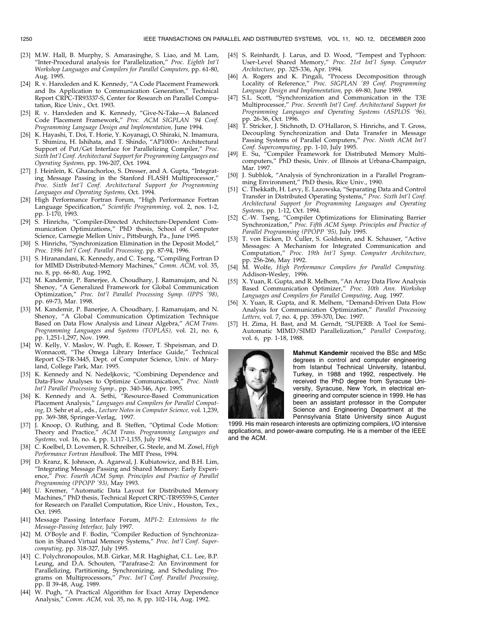- [23] M.W. Hall, B. Murphy, S. Amarasinghe, S. Liao, and M. Lam, ªInter-Procedural analysis for Parallelization,º Proc. Eighth Int'l Workshop Languages and Compilers for Parallel Computers, pp. 61-80, Aug. 1995.
- [24] R. v. Hanxleden and K. Kennedy, "A Code Placement Framework and Its Application to Communication Generation," Technical Report CRPC-TR93337-S, Center for Research on Parallel Computation, Rice Univ., Oct. 1993.
- [25] R. v. Hanxleden and K. Kennedy, "Give-N-Take-A Balanced Code Placement Framework," Proc. ACM SIGPLAN '94 Conf. Programming Language Design and Implementation, June 1994.
- [26] K. Hayashi, T. Doi, T. Horie, Y. Koyanagi, O. Shiraki, N. Imamura, T. Shimizu, H. Ishihata, and T. Shindo, ªAP1000+: Architectural Support of Put/Get Interface for Parallelizing Compiler," Proc. Sixth Int'l Conf. Architectural Support for Programming Languages and Operating Systems, pp. 196-207, Oct. 1994.
- [27] J. Heinlein, K. Gharachorloo, S. Dresser, and A. Gupta, "Integrating Message Passing in the Stanford FLASH Multiprocessor," Proc. Sixth Int'l Conf. Architectural Support for Programming Languages and Operating Systems, Oct. 1994.
- [28] High Performance Fortran Forum, "High Performance Fortran Language Specification," Scientific Programming, vol. 2, nos. 1-2, pp. 1-170, 1993.
- [29] S. Hinrichs, "Compiler-Directed Architecture-Dependent Communication Optimizations," PhD thesis, School of Computer Science, Carnegie Mellon Univ., Pittsburgh, Pa., June 1995.
- [30] S. Hinrichs, "Synchronization Elimination in the Deposit Model," Proc. 1996 Int'l Conf. Parallel Processing, pp. 87-94, 1996.
- [31] S. Hiranandani, K. Kennedy, and C. Tseng, "Compiling Fortran D for MIMD Distributed-Memory Machines," Comm. ACM, vol. 35, no. 8, pp. 66-80, Aug. 1992.
- [32] M. Kandemir, P. Banerjee, A. Choudhary, J. Ramanujam, and N. Shenoy, ªA Generalized Framework for Global Communication Optimization,º Proc. Int'l Parallel Processing Symp. (IPPS '98), pp. 69-73, Mar. 1998.
- [33] M. Kandemir, P. Banerjee, A. Choudhary, J. Ramanujam, and N. Shenoy, ªA Global Communication Optimization Technique Based on Data Flow Analysis and Linear Algebra," ACM Trans. Programming Languages and Systems (TOPLAS), vol. 21, no. 6, pp. 1,251-1,297, Nov. 1999.
- [34] W. Kelly, V. Maslov, W. Pugh, E. Rosser, T. Shpeisman, and D. Wonnacott, "The Omega Library Interface Guide," Technical Report CS-TR-3445, Dept. of Computer Science, Univ. of Maryland, College Park, Mar. 1995.
- [35] K. Kennedy and N. Nedeljkovic, "Combining Dependence and Data-Flow Analyses to Optimize Communication," Proc. Ninth Int'l Parallel Processing Symp., pp. 340-346, Apr. 1995.
- [36] K. Kennedy and A. Sethi, "Resource-Based Communication Placement Analysis," Languages and Compilers for Parallel Computing, D. Sehr et al., eds., Lecture Notes in Computer Science, vol. 1,239, pp. 369-388, Springer-Verlag, 1997.
- [37] J. Knoop, O. Ruthing, and B. Steffen, "Optimal Code Motion: Theory and Practice,º ACM Trans. Programming Languages and Systems, vol. 16, no. 4, pp. 1,117-1,155, July 1994.
- [38] C. Koelbel, D. Lovemen, R. Schreiber, G. Steele, and M. Zosel, High Performance Fortran Handbook. The MIT Press, 1994.
- [39] D. Kranz, K. Johnson, A. Agarwal, J. Kubiatowicz, and B.H. Lim, ªIntegrating Message Passing and Shared Memory: Early Experience," Proc. Fourth ACM Symp. Principles and Practice of Parallel Programming (PPOPP '93), May 1993.
- [40] U. Kremer, ªAutomatic Data Layout for Distributed Memory Machines,º PhD thesis, Technical Report CRPC-TR95559-S, Center for Research on Parallel Computation, Rice Univ., Houston, Tex., Oct. 1995.
- [41] Message Passing Interface Forum, MPI-2: Extensions to the Message-Passing Interface, July 1997.
- [42] M. O'Boyle and F. Bodin, "Compiler Reduction of Synchronization in Shared Virtual Memory Systems," Proc. Int'l Conf. Supercomputing, pp. 318-327, July 1995.
- [43] C. Polychronopoulos, M.B. Girkar, M.R. Haghighat, C.L. Lee, B.P. Leung, and D.A. Schouten, "Parafrase-2: An Environment for Parallelizing, Partitioning, Synchronizing, and Scheduling Programs on Multiprocessors," Proc. Int'l Conf. Parallel Processing, pp. II 39-48, Aug. 1989.
- [44] W. Pugh, "A Practical Algorithm for Exact Array Dependence Analysis,º Comm. ACM, vol. 35, no. 8, pp. 102-114, Aug. 1992.
- [45] S. Reinhardt, J. Larus, and D. Wood, "Tempest and Typhoon: User-Level Shared Memory,º Proc. 21st Int'l Symp. Computer Architecture, pp. 325-336, Apr. 1994.
- [46] A. Rogers and K. Pingali, "Process Decomposition through Locality of Reference," Proc. SIGPLAN '89 Conf. Programming Language Design and Implementation, pp. 69-80, June 1989.
- S.L. Scott, "Synchronization and Communication in the T3E Multiprocessor," Proc. Seventh Int'l Conf. Architectural Support for Programming Languages and Operating Systems (ASPLOS '96), pp. 26-36, Oct. 1996.
- [48] T. Stricker, J. Stichnoth, D. O'Hallaron, S. Hinrichs, and T. Gross, Decoupling Synchronization and Data Transfer in Message Passing Systems of Parallel Computers," Proc. Ninth ACM Int'l Conf. Supercomputing, pp. 1-10, July 1995.
- [49] E. Su, "Compiler Framework for Distributed Memory Multicomputers,º PhD thesis, Univ. of Illinois at Urbana-Champaign, Mar. 1997.
- [50] J. Subhlok, "Analysis of Synchronization in a Parallel Programming Environment," PhD thesis, Rice Univ., 1990.
- [51] C. Thekkath, H. Levy, E. Lazowska, "Separating Data and Control Transfer in Distributed Operating Systems," Proc. Sixth Int'l Conf. Architectural Support for Programming Languages and Operating Systems, pp. 1-12, Oct. 1994.
- [52] C.-W. Tseng, "Compiler Optimizations for Eliminating Barrier Synchronization," Proc. Fifth ACM Symp. Principles and Practice of Parallel Programming (PPOPP '95), July 1995.
- T. von Eicken, D. Culler, S. Goldstein, and K. Schauser, "Active Messages: A Mechanism for Integrated Communication and Computation,º Proc. 19th Int'l Symp. Computer Architecture, pp. 256-266, May 1992.
- [54] M. Wolfe, High Performance Compilers for Parallel Computing. Addison-Wesley, 1996.
- X. Yuan, R. Gupta, and R. Melhem, "An Array Data Flow Analysis Based Communication Optimizer," Proc. 10th Ann. Workshop Languages and Compilers for Parallel Computing, Aug. 1997.
- [56] X. Yuan, R. Gupta, and R. Melhem, "Demand-Driven Data Flow Analysis for Communication Optimization," Parallel Processing Letters, vol. 7, no. 4, pp. 359-370, Dec. 1997.
- [57] H. Zima, H. Bast, and M. Gerndt, "SUPERB: A Tool for Semi-Automatic MIMD/SIMD Parallelization," Parallel Computing, vol. 6, pp. 1-18, 1988.



Mahmut Kandemir received the BSc and MSc degrees in control and computer engineering from Istanbul Technical University, Istanbul, Turkey, in 1988 and 1992, respectively. He received the PhD degree from Syracuse University, Syracuse, New York, in electrical engineering and computer science in 1999. He has been an assistant professor in the Computer Science and Engineering Department at the Pennsylvania State University since August

1999. His main research interests are optimizing compilers, I/O intensive applications, and power-aware computing. He is a member of the IEEE and the ACM.